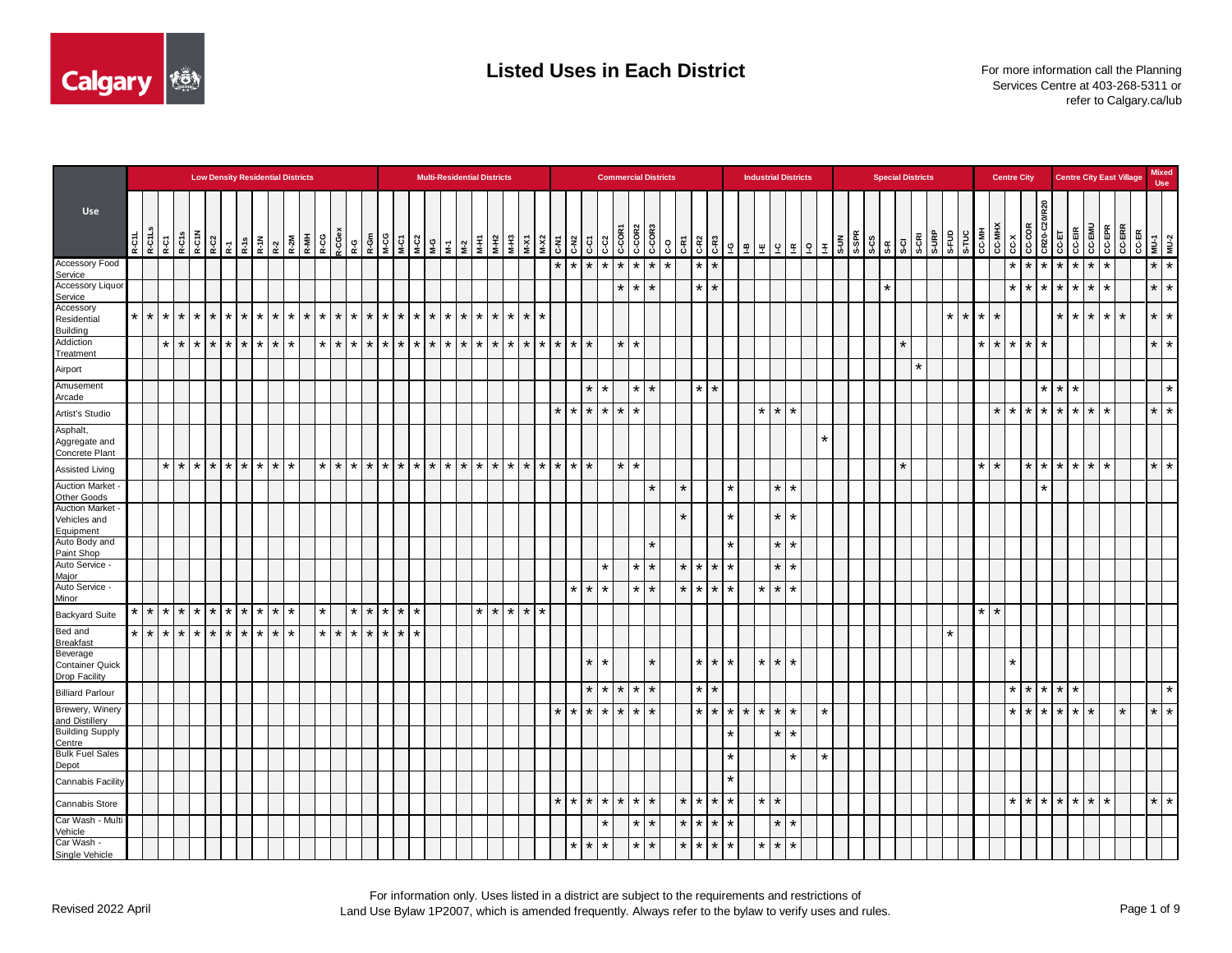

|                                                     |         |         |         |                    |         |         |                      | <b>Low Density Residential Districts</b> |           |         |         |                      |         |                    |         |         |                 |                     |         | <b>Multi-Residential Districts</b> |         |         |         |         |                   |         |             |                      |                   | <b>Commercial Districts</b>                                                                                                |         |         |                      |         |                                                                                                                          | <b>Industrial Districts</b> |         |                   |         |  | <b>Special Districts</b> |         |         |         |                      |               | <b>Centre City</b> |                 |         |                 |                    |                    | <b>Centre City East Village</b> |                  |                       | <b>Mixed</b><br><b>Use</b> |
|-----------------------------------------------------|---------|---------|---------|--------------------|---------|---------|----------------------|------------------------------------------|-----------|---------|---------|----------------------|---------|--------------------|---------|---------|-----------------|---------------------|---------|------------------------------------|---------|---------|---------|---------|-------------------|---------|-------------|----------------------|-------------------|----------------------------------------------------------------------------------------------------------------------------|---------|---------|----------------------|---------|--------------------------------------------------------------------------------------------------------------------------|-----------------------------|---------|-------------------|---------|--|--------------------------|---------|---------|---------|----------------------|---------------|--------------------|-----------------|---------|-----------------|--------------------|--------------------|---------------------------------|------------------|-----------------------|----------------------------|
| Use                                                 |         |         |         |                    |         |         |                      |                                          |           |         |         |                      |         |                    |         |         |                 |                     |         |                                    |         |         |         |         |                   |         | $C-C2$      |                      |                   | $\begin{array}{ c c c }\hline & & & & & \\ \hline 100 & 0 & 0 & 0 \\ 0 & 0 & 0 & 0 \\ 0 & 0 & 0 & 0 \\ \hline \end{array}$ |         |         | C-R <sub>2</sub>     |         | $\begin{array}{c c c c} \mathbb{R} & \mathbb{S} & \mathbb{R} \\ \hline \mathbb{C} & \mathbb{S} & \mathbb{R} \end{array}$ |                             |         |                   |         |  |                          |         |         |         |                      |               |                    |                 | R20     |                 | CC-EIR             | <b>CC-EMU</b>      |                                 | CC-EPR<br>CC-ERR | CC-ER<br>MU-1<br>MU-2 |                            |
| Accessory Food<br>Service                           |         |         |         |                    |         |         |                      |                                          |           |         |         |                      |         |                    |         |         |                 |                     |         |                                    |         |         |         | $\star$ | $\overline{\ast}$ | $\ast$  | $*$ * * * * |                      |                   |                                                                                                                            | $\star$ |         | $\star$<br>$\star$   |         |                                                                                                                          |                             |         |                   |         |  |                          |         |         |         |                      |               |                    | $\star$ $\star$ |         | $\star$ $\star$ | $\star$            | $\star$            | $\star$                         |                  |                       | $*$ $*$                    |
| <b>Accessory Liquor</b><br>Service                  |         |         |         |                    |         |         |                      |                                          |           |         |         |                      |         |                    |         |         |                 |                     |         |                                    |         |         |         |         |                   |         |             | $\star$              | $*$   $*$         |                                                                                                                            |         |         | *<br>$\star$         |         |                                                                                                                          |                             |         |                   |         |  | $\star$                  |         |         |         |                      |               |                    | $\star$ $\star$ | $\star$ |                 | $\star$            | ¥<br>$\star$       | $\star$                         |                  |                       | $\star$   $\star$          |
| Accessory<br>Residential<br><b>Building</b>         | $\star$ | $\star$ | $\star$ | $\star$<br>$\star$ | $\star$ | $\star$ |                      | $\star$                                  | $\star$   | $\star$ | $\star$ | *                    | $\star$ | $\star$<br>$\star$ | $\star$ | $\star$ | $\star$         | $*$ $*$ $*$         | $\star$ | $\star$                            | $\star$ | $\star$ | $\star$ |         |                   |         |             |                      |                   |                                                                                                                            |         |         |                      |         |                                                                                                                          |                             |         |                   |         |  |                          |         |         | $\star$ | $\star$<br>$\star$   |               |                    |                 |         |                 | $\star$            | $\star$<br>$\star$ | $\star$                         | $\star$          | $\star$               | ∗                          |
| Addiction<br>Treatment                              |         |         |         | $*$ * * *          |         | $\star$ | $\star$              | $*$ $*$ $*$                              |           |         |         | $\star$ 1<br>$\star$ |         | $\star$ $\star$    | $\star$ | $\star$ |                 | $*$ $*$ $*$ $*$ $*$ | $\star$ | $\star$                            | $\star$ | $\star$ | $\star$ | $\star$ | $\star$           | $\star$ |             | $\star$ $\star$      |                   |                                                                                                                            |         |         |                      |         |                                                                                                                          |                             |         |                   |         |  |                          | $\star$ |         |         | $\star$              |               | $*$ $*$ $*$        |                 | $\star$ |                 |                    |                    |                                 |                  |                       | $\star$ $\star$            |
| Airport                                             |         |         |         |                    |         |         |                      |                                          |           |         |         |                      |         |                    |         |         |                 |                     |         |                                    |         |         |         |         |                   |         |             |                      |                   |                                                                                                                            |         |         |                      |         |                                                                                                                          |                             |         |                   |         |  |                          |         | $\star$ |         |                      |               |                    |                 |         |                 |                    |                    |                                 |                  |                       |                            |
| Amusement<br>Arcade                                 |         |         |         |                    |         |         |                      |                                          |           |         |         |                      |         |                    |         |         |                 |                     |         |                                    |         |         |         |         |                   | $\star$ | $\star$     |                      | $\star$   $\star$ |                                                                                                                            |         |         | $\star$<br>$\star$   |         |                                                                                                                          |                             |         |                   |         |  |                          |         |         |         |                      |               |                    |                 |         | $\star$         | $\star$<br>÷       |                    |                                 |                  |                       | $\star$                    |
| Artist's Studio                                     |         |         |         |                    |         |         |                      |                                          |           |         |         |                      |         |                    |         |         |                 |                     |         |                                    |         |         |         | $\star$ | $\star$           | $\star$ | $\star$     | $\star$ $\star$      |                   |                                                                                                                            |         |         |                      |         |                                                                                                                          | $\star$                     |         | $\star$ $\star$   |         |  |                          |         |         |         |                      |               | $*$ $*$ $*$        |                 |         | $\star$         | $\star$            | ¥<br>$\star$       | $\star$                         |                  |                       | $\star$   $\star$          |
| Asphalt,<br>Aggregate and<br>Concrete Plant         |         |         |         |                    |         |         |                      |                                          |           |         |         |                      |         |                    |         |         |                 |                     |         |                                    |         |         |         |         |                   |         |             |                      |                   |                                                                                                                            |         |         |                      |         |                                                                                                                          |                             |         |                   | $\star$ |  |                          |         |         |         |                      |               |                    |                 |         |                 |                    |                    |                                 |                  |                       |                            |
| <b>Assisted Living</b>                              |         |         | $\star$ | $\star$<br>$\star$ | $\star$ | $\star$ |                      | $*$   $*$                                |           |         |         | $\star$              | $\star$ | $\star$   $\star$  | $\star$ | $\star$ |                 | $*$ * * * *         | $\star$ | $\star$                            | $\star$ | $\star$ | $\star$ | $\star$ | $\star$           | $\star$ |             | $\star$ $\star$      |                   |                                                                                                                            |         |         |                      |         |                                                                                                                          |                             |         |                   |         |  |                          | $\star$ |         |         |                      |               |                    |                 | $\star$ |                 | $\star$            | $\star$<br>¥       | $\star$                         |                  |                       | $\star$   $\star$          |
| <b>Auction Market</b><br>Other Goods                |         |         |         |                    |         |         |                      |                                          |           |         |         |                      |         |                    |         |         |                 |                     |         |                                    |         |         |         |         |                   |         |             |                      |                   | $\star$                                                                                                                    |         | $\star$ |                      |         | $\star$                                                                                                                  |                             | $\star$ | l *               |         |  |                          |         |         |         |                      |               |                    |                 | *       |                 |                    |                    |                                 |                  |                       |                            |
| <b>Auction Market</b><br>Vehicles and<br>Equipment  |         |         |         |                    |         |         |                      |                                          |           |         |         |                      |         |                    |         |         |                 |                     |         |                                    |         |         |         |         |                   |         |             |                      |                   |                                                                                                                            |         | $\star$ |                      |         | $\star$                                                                                                                  |                             | $\star$ | *                 |         |  |                          |         |         |         |                      |               |                    |                 |         |                 |                    |                    |                                 |                  |                       |                            |
| Auto Body and                                       |         |         |         |                    |         |         |                      |                                          |           |         |         |                      |         |                    |         |         |                 |                     |         |                                    |         |         |         |         |                   |         |             |                      |                   |                                                                                                                            |         |         |                      |         | $\star$                                                                                                                  |                             |         | $\star$   $\star$ |         |  |                          |         |         |         |                      |               |                    |                 |         |                 |                    |                    |                                 |                  |                       |                            |
| Paint Shop<br>Auto Service -                        |         |         |         |                    |         |         |                      |                                          |           |         |         |                      |         |                    |         |         |                 |                     |         |                                    |         |         |         |         |                   |         | $\star$     |                      | $*$   $*$         |                                                                                                                            |         | $\star$ | $\star$<br>$\star$   | $\star$ |                                                                                                                          |                             |         | $\star$   $\star$ |         |  |                          |         |         |         |                      |               |                    |                 |         |                 |                    |                    |                                 |                  |                       |                            |
| Major<br>Auto Service -                             |         |         |         |                    |         |         |                      |                                          |           |         |         |                      |         |                    |         |         |                 |                     |         |                                    |         |         |         |         | $\star$           | $\star$ | $\star$     |                      | $*$   $*$         |                                                                                                                            |         | $\star$ | $\star$<br>$\star$   | $\star$ |                                                                                                                          | $\ast$                      |         | $\star$   $\star$ |         |  |                          |         |         |         |                      |               |                    |                 |         |                 |                    |                    |                                 |                  |                       |                            |
| Minor<br><b>Backyard Suite</b>                      | $\star$ | $\star$ | $\star$ | $\star$<br>$\star$ | $\star$ | $\star$ | $\ddot{\phantom{1}}$ | $\star$                                  | $*$   $*$ |         |         | ¥                    |         | $\star$<br>$\star$ | $\star$ |         | $\star$ $\star$ |                     |         | $*$ $*$ $*$                        |         | $\star$ | $\star$ |         |                   |         |             |                      |                   |                                                                                                                            |         |         |                      |         |                                                                                                                          |                             |         |                   |         |  |                          |         |         |         | $\ddot{\phantom{0}}$ | $\rightarrow$ |                    |                 |         |                 |                    |                    |                                 |                  |                       |                            |
| Bed and<br><b>Breakfast</b>                         | $\star$ | $\star$ | $\star$ | $\star$<br>$\star$ | $\star$ | $\star$ | $\star$              | $*$ * *                                  |           |         |         | $\star$ 1            | $\star$ | $\star$ $\star$    | $\star$ | $\star$ | $\star$         |                     |         |                                    |         |         |         |         |                   |         |             |                      |                   |                                                                                                                            |         |         |                      |         |                                                                                                                          |                             |         |                   |         |  |                          |         |         | $\star$ |                      |               |                    |                 |         |                 |                    |                    |                                 |                  |                       |                            |
| Beverage<br><b>Container Quick</b><br>Drop Facility |         |         |         |                    |         |         |                      |                                          |           |         |         |                      |         |                    |         |         |                 |                     |         |                                    |         |         |         |         |                   | $\star$ | $\star$     |                      |                   |                                                                                                                            |         |         | $\star$<br>*         | $\star$ |                                                                                                                          | $\star$                     |         | $\star$ $\star$   |         |  |                          |         |         |         |                      |               | $\star$            |                 |         |                 |                    |                    |                                 |                  |                       |                            |
| <b>Billiard Parlour</b>                             |         |         |         |                    |         |         |                      |                                          |           |         |         |                      |         |                    |         |         |                 |                     |         |                                    |         |         |         |         |                   | $\star$ | $\star$     |                      | $*$ $*$ $*$       |                                                                                                                            |         |         | *<br>$\star$         |         |                                                                                                                          |                             |         |                   |         |  |                          |         |         |         |                      |               |                    | $*$ $*$         |         | $\star$         | $\star$<br>$\star$ |                    |                                 |                  |                       | $\star$                    |
| Brewery, Winery<br>and Distillery                   |         |         |         |                    |         |         |                      |                                          |           |         |         |                      |         |                    |         |         |                 |                     |         |                                    |         |         |         | $\star$ | $\star$           | $\star$ | $\star$     |                      | $\star$   $\star$ |                                                                                                                            |         |         | $\star$  <br>$\star$ |         | $\star$   $\star$                                                                                                        | $\star$                     |         | $*$   $*$         | $\star$ |  |                          |         |         |         |                      |               |                    | $*$ $*$         |         | $\star$         | $*$   $*$          | $\star$            |                                 | $\star$          |                       | $\star$   $\star$          |
| <b>Building Supply</b><br>Centre                    |         |         |         |                    |         |         |                      |                                          |           |         |         |                      |         |                    |         |         |                 |                     |         |                                    |         |         |         |         |                   |         |             |                      |                   |                                                                                                                            |         |         |                      |         | $\star$                                                                                                                  |                             | $\star$ | l ∗               |         |  |                          |         |         |         |                      |               |                    |                 |         |                 |                    |                    |                                 |                  |                       |                            |
| <b>Bulk Fuel Sales</b>                              |         |         |         |                    |         |         |                      |                                          |           |         |         |                      |         |                    |         |         |                 |                     |         |                                    |         |         |         |         |                   |         |             |                      |                   |                                                                                                                            |         |         |                      |         | $\star$                                                                                                                  |                             |         | $\star$           | $\star$ |  |                          |         |         |         |                      |               |                    |                 |         |                 |                    |                    |                                 |                  |                       |                            |
| Depot<br>Cannabis Facility                          |         |         |         |                    |         |         |                      |                                          |           |         |         |                      |         |                    |         |         |                 |                     |         |                                    |         |         |         |         |                   |         |             |                      |                   |                                                                                                                            |         |         |                      |         | $\star$                                                                                                                  |                             |         |                   |         |  |                          |         |         |         |                      |               |                    |                 |         |                 |                    |                    |                                 |                  |                       |                            |
| Cannabis Store                                      |         |         |         |                    |         |         |                      |                                          |           |         |         |                      |         |                    |         |         |                 |                     |         |                                    |         |         |         | $\star$ | $\star$           | $\star$ | $\star$     | $\ddot{\phantom{1}}$ | $\star$ $\star$   |                                                                                                                            |         | $\star$ | $\star$<br>÷         |         | $\star$                                                                                                                  | $\ast$                      | $\star$ |                   |         |  |                          |         |         |         |                      |               |                    | $\star$ $\star$ | $\star$ |                 | $\star$            | $\star$<br>$\star$ | $\star$                         |                  |                       | $\frac{*}{*}$              |
| Car Wash - Multi<br>Vehicle                         |         |         |         |                    |         |         |                      |                                          |           |         |         |                      |         |                    |         |         |                 |                     |         |                                    |         |         |         |         |                   |         | $\star$     |                      | $*$   $*$         |                                                                                                                            |         | $\star$ | $\star$<br>$\star$   | $\star$ |                                                                                                                          |                             |         | $\star$   $\star$ |         |  |                          |         |         |         |                      |               |                    |                 |         |                 |                    |                    |                                 |                  |                       |                            |
| Car Wash -                                          |         |         |         |                    |         |         |                      |                                          |           |         |         |                      |         |                    |         |         |                 |                     |         |                                    |         |         |         |         | $\star$           | $\star$ | $\star$     |                      | $*$   $*$         |                                                                                                                            |         | $\star$ | $\star$<br>$\star$   | $\star$ |                                                                                                                          | $\star$                     |         | $\star$   $\star$ |         |  |                          |         |         |         |                      |               |                    |                 |         |                 |                    |                    |                                 |                  |                       |                            |
| Single Vehicle                                      |         |         |         |                    |         |         |                      |                                          |           |         |         |                      |         |                    |         |         |                 |                     |         |                                    |         |         |         |         |                   |         |             |                      |                   |                                                                                                                            |         |         |                      |         |                                                                                                                          |                             |         |                   |         |  |                          |         |         |         |                      |               |                    |                 |         |                 |                    |                    |                                 |                  |                       |                            |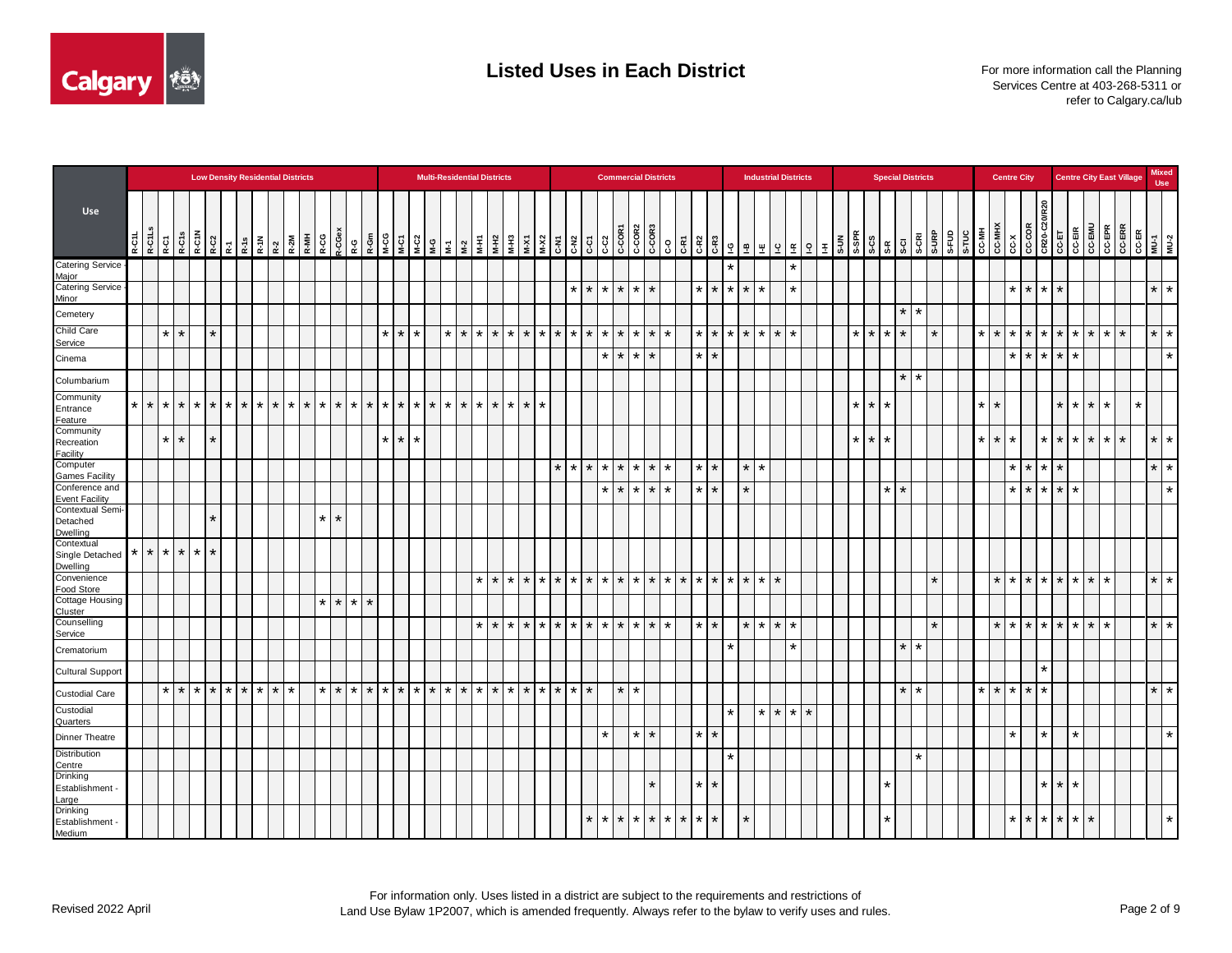

|                                           |         |                    |                   |         |               | <b>Low Density Residential Districts</b> |  |                                            |                 |         |                    |                 |                                 |         |         |           | <b>Multi-Residential Districts</b> |         |                   |         |                    |                    |                 |                    |         |         | <b>Commercial Districts</b> |                 |         |         |         |                   |         |                                                                                                                                                                                                                                                                                                                |                   |         | <b>Industrial Districts</b> |         |  |         |         |         |                   | <b>Special Districts</b> |         |       |         |         | <b>Centre City</b>  |                 |                         |         |                 |         |                    | <b>Centre City East Village</b>                                                                                                                                                                                                                                                                                         |         | <b>Mixed</b><br><b>Use</b> |
|-------------------------------------------|---------|--------------------|-------------------|---------|---------------|------------------------------------------|--|--------------------------------------------|-----------------|---------|--------------------|-----------------|---------------------------------|---------|---------|-----------|------------------------------------|---------|-------------------|---------|--------------------|--------------------|-----------------|--------------------|---------|---------|-----------------------------|-----------------|---------|---------|---------|-------------------|---------|----------------------------------------------------------------------------------------------------------------------------------------------------------------------------------------------------------------------------------------------------------------------------------------------------------------|-------------------|---------|-----------------------------|---------|--|---------|---------|---------|-------------------|--------------------------|---------|-------|---------|---------|---------------------|-----------------|-------------------------|---------|-----------------|---------|--------------------|-------------------------------------------------------------------------------------------------------------------------------------------------------------------------------------------------------------------------------------------------------------------------------------------------------------------------|---------|----------------------------|
| Use                                       | R-C1L   | R-C1L <sub>S</sub> | R-C1<br>R-C15     |         | R-C1N<br>R-C2 | $\mathbb{R}^7$                           |  | $R-18$ $R-10V$ $R-2W$ $R-2W$ $R-WH$ $R-WH$ |                 | R-CG    | 2-CGe:             |                 |                                 |         |         |           |                                    |         |                   |         | $k-N$              |                    | $M-X2$          | C-N <sub>2</sub>   | ç.      |         | C-C2<br>C-COR1              |                 |         |         |         |                   |         | $\begin{bmatrix} 8 & 8 & 8 \ 8 & 8 & 8 \ 8 & 8 & 8 \ 8 & 8 & 8 \ 8 & 8 & 8 \ 8 & 8 & 8 \ 8 & 8 & 8 \ 8 & 8 & 8 \ 8 & 8 & 8 \ 8 & 8 & 8 \ 8 & 8 & 8 \ 8 & 8 & 8 \ 8 & 8 & 8 \ 8 & 8 & 8 \ 8 & 8 & 8 \ 8 & 8 & 8 \ 8 & 8 & 8 \ 8 & 8 & 8 \ 8 & 8 & 8 \ 8 & 8 & 8 \ 8 & 8 & 8 \ 8 & 8 & 8 \ 8 & 8 & 8 \ 8 & 8 & $ |                   |         |                             |         |  |         |         |         |                   | S-CRI                    | S-URP   | S-FUD |         |         |                     |                 |                         |         |                 |         |                    | $\begin{array}{ c c c }\n\hline\n\text{G-ER} & \text{G-ER} \\ \hline\n\text{G-ER} & \text{G-ER} \\ \hline\n\text{G-CE} & \text{H} \\ \hline\n\text{G-CE} & \text{H} \\ \hline\n\text{H} & \text{H} \\ \hline\n\text{H} & \text{H} \\ \hline\n\text{H} & \text{H} \\ \hline\n\text{H} & \text{H} \\ \hline\n\end{array}$ |         |                            |
| Catering Service<br>Maior                 |         |                    |                   |         |               |                                          |  |                                            |                 |         |                    |                 |                                 |         |         |           |                                    |         |                   |         |                    |                    |                 |                    |         |         |                             |                 |         |         |         |                   |         | $\star$                                                                                                                                                                                                                                                                                                        |                   |         |                             | $\star$ |  |         |         |         |                   |                          |         |       |         |         |                     |                 |                         |         |                 |         |                    |                                                                                                                                                                                                                                                                                                                         |         |                            |
| <b>Catering Service</b><br>Minor          |         |                    |                   |         |               |                                          |  |                                            |                 |         |                    |                 |                                 |         |         |           |                                    |         |                   |         |                    |                    |                 | $\star$            | $\star$ |         | $*$ * * *                   |                 |         |         |         |                   |         | $*$ $*$ $*$ $*$ $*$                                                                                                                                                                                                                                                                                            |                   |         |                             | $\star$ |  |         |         |         |                   |                          |         |       |         |         | $\star$             |                 | $*$ $*$ $*$             |         |                 |         |                    |                                                                                                                                                                                                                                                                                                                         | $\star$ | $\star$                    |
| Cemetery                                  |         |                    |                   |         |               |                                          |  |                                            |                 |         |                    |                 |                                 |         |         |           |                                    |         |                   |         |                    |                    |                 |                    |         |         |                             |                 |         |         |         |                   |         |                                                                                                                                                                                                                                                                                                                |                   |         |                             |         |  |         |         |         | $\star$           | $\star$                  |         |       |         |         |                     |                 |                         |         |                 |         |                    |                                                                                                                                                                                                                                                                                                                         |         |                            |
| <b>Child Care</b><br>Service              |         | $\star$            | $\star$           |         | $\star$       |                                          |  |                                            |                 |         |                    |                 | $\star$                         | $\star$ | $\star$ |           | $\star$                            | $\star$ | $\star$           | $\star$ | $\star$<br>$\star$ |                    | $\star$ $\star$ | $\star$            | $\star$ | $\star$ |                             | l ★ l           | $\star$ |         |         | $\star$           | $\star$ | $\star$                                                                                                                                                                                                                                                                                                        | $\star$   $\star$ |         | $\star$<br>$\star$          |         |  |         | $\star$ | $\star$ | $\star$           |                          | $\star$ |       | $\star$ | $\star$ |                     | $\star$         | $*$ $*$                 |         | $\star$         | $\star$ | $\star$<br>$\star$ |                                                                                                                                                                                                                                                                                                                         | $\star$ | $\star$                    |
| Cinema                                    |         |                    |                   |         |               |                                          |  |                                            |                 |         |                    |                 |                                 |         |         |           |                                    |         |                   |         |                    |                    |                 |                    |         |         | $\star$   $\star$           | $\vert * \vert$ |         |         |         | $\star$           | $\star$ |                                                                                                                                                                                                                                                                                                                |                   |         |                             |         |  |         |         |         |                   |                          |         |       |         |         | $\pmb{\ast}$        | $\star$         | $\star$   $\star$       |         |                 |         |                    |                                                                                                                                                                                                                                                                                                                         |         | $\star$                    |
| Columbarium                               |         |                    |                   |         |               |                                          |  |                                            |                 |         |                    |                 |                                 |         |         |           |                                    |         |                   |         |                    |                    |                 |                    |         |         |                             |                 |         |         |         |                   |         |                                                                                                                                                                                                                                                                                                                |                   |         |                             |         |  |         |         |         | $\star$           | $\star$                  |         |       |         |         |                     |                 |                         |         |                 |         |                    |                                                                                                                                                                                                                                                                                                                         |         |                            |
| Community<br>Entrance<br>Feature          | $\star$ | $\star$            | $\star$ $\star$   | $\star$ |               | $*$ * * * * *                            |  |                                            | $\star$ $\star$ | $\star$ | $\star$            |                 | $\star$ $\star$ $\star$ $\star$ | $\star$ |         | $*$ * * * |                                    | $\star$ | $\star$           | $\star$ | $\star$            | $\star$<br>$\star$ |                 |                    |         |         |                             |                 |         |         |         |                   |         |                                                                                                                                                                                                                                                                                                                |                   |         |                             |         |  |         | $\star$ | $\star$ |                   |                          |         |       | $\star$ | $\star$ |                     |                 |                         | $\star$ | * I             | $\star$ | $\star$            | $\star$                                                                                                                                                                                                                                                                                                                 |         |                            |
| Community<br>Recreation<br>Facility       |         |                    | $\star$   $\star$ |         | $\star$       |                                          |  |                                            |                 |         |                    |                 | $\star$                         | $\star$ | $\star$ |           |                                    |         |                   |         |                    |                    |                 |                    |         |         |                             |                 |         |         |         |                   |         |                                                                                                                                                                                                                                                                                                                |                   |         |                             |         |  | $\star$ | $\star$ | $\star$ |                   |                          |         |       | $\star$ | $\star$ |                     |                 | $\star$ $\star$         |         | $*$ *           |         | $\star$            | $\star$                                                                                                                                                                                                                                                                                                                 |         | $\star$ $\star$            |
| Computer<br><b>Games Facility</b>         |         |                    |                   |         |               |                                          |  |                                            |                 |         |                    |                 |                                 |         |         |           |                                    |         |                   |         |                    |                    |                 | $\star$<br>$\star$ | $\star$ |         | $*$ * * * *                 |                 |         | $\star$ |         | $\star$           | $\star$ |                                                                                                                                                                                                                                                                                                                | $\star$           | $\star$ |                             |         |  |         |         |         |                   |                          |         |       |         |         | $\star$             | l * l           | $\star$   $\star$       |         |                 |         |                    |                                                                                                                                                                                                                                                                                                                         | $\star$ | $\star$                    |
| Conference and<br><b>Event Facility</b>   |         |                    |                   |         |               |                                          |  |                                            |                 |         |                    |                 |                                 |         |         |           |                                    |         |                   |         |                    |                    |                 |                    |         |         | $*$ * * * *                 |                 |         | $\star$ |         | $\star$ $\star$   |         |                                                                                                                                                                                                                                                                                                                | $\star$           |         |                             |         |  |         |         |         | $\star$   $\star$ |                          |         |       |         |         | $\star$             | $\star$         | $\star$ $\star$ $\star$ |         | $\star$         |         |                    |                                                                                                                                                                                                                                                                                                                         |         | $\star$                    |
| Contextual Semi-<br>Detached<br>Dwelling  |         |                    |                   |         | $\star$       |                                          |  |                                            |                 |         | $\star$<br>$\star$ |                 |                                 |         |         |           |                                    |         |                   |         |                    |                    |                 |                    |         |         |                             |                 |         |         |         |                   |         |                                                                                                                                                                                                                                                                                                                |                   |         |                             |         |  |         |         |         |                   |                          |         |       |         |         |                     |                 |                         |         |                 |         |                    |                                                                                                                                                                                                                                                                                                                         |         |                            |
| Contextual<br>Single Detached<br>Dwelling | $\star$ | $\star$            | $\star$ $\star$   | $\star$ | $\star$       |                                          |  |                                            |                 |         |                    |                 |                                 |         |         |           |                                    |         |                   |         |                    |                    |                 |                    |         |         |                             |                 |         |         |         |                   |         |                                                                                                                                                                                                                                                                                                                |                   |         |                             |         |  |         |         |         |                   |                          |         |       |         |         |                     |                 |                         |         |                 |         |                    |                                                                                                                                                                                                                                                                                                                         |         |                            |
| Convenience<br>Food Store                 |         |                    |                   |         |               |                                          |  |                                            |                 |         |                    |                 |                                 |         |         |           |                                    |         | $*$ $*$           |         | $\star$<br>$\star$ |                    |                 | $*$ $*$ $*$        | $\star$ |         | $*$ $*$ $*$ $*$ $*$         |                 |         |         | $\star$ | $\star$           | $\star$ | $*$ * *                                                                                                                                                                                                                                                                                                        |                   |         | $\star$                     |         |  |         |         |         |                   |                          | $\star$ |       |         |         | $*$ $*$ $*$ $*$ $*$ |                 |                         |         | $\star$ $\star$ |         | $\star$            |                                                                                                                                                                                                                                                                                                                         |         | $\star$ $\star$            |
| <b>Cottage Housing</b><br><b>Cluster</b>  |         |                    |                   |         |               |                                          |  |                                            |                 |         | $\star$<br>$\star$ | $\star$ $\star$ |                                 |         |         |           |                                    |         |                   |         |                    |                    |                 |                    |         |         |                             |                 |         |         |         |                   |         |                                                                                                                                                                                                                                                                                                                |                   |         |                             |         |  |         |         |         |                   |                          |         |       |         |         |                     |                 |                         |         |                 |         |                    |                                                                                                                                                                                                                                                                                                                         |         |                            |
| Counselling<br>Service                    |         |                    |                   |         |               |                                          |  |                                            |                 |         |                    |                 |                                 |         |         |           |                                    |         | $\star$   $\star$ |         | $\star$            | $\star$            |                 | $*$ $*$ $*$        | $\star$ |         | $*$ $*$ $*$ $*$ $*$         |                 |         |         |         | $\star$ $\star$   |         |                                                                                                                                                                                                                                                                                                                | $\star$ $\star$   |         | $\star$<br>$\star$          |         |  |         |         |         |                   |                          | $\star$ |       |         |         | $*$ $*$ $*$ $*$ $*$ |                 |                         |         | $*$ $*$         |         | $\star$            |                                                                                                                                                                                                                                                                                                                         | $\star$ | $\star$                    |
| Crematorium                               |         |                    |                   |         |               |                                          |  |                                            |                 |         |                    |                 |                                 |         |         |           |                                    |         |                   |         |                    |                    |                 |                    |         |         |                             |                 |         |         |         |                   |         | $\star$                                                                                                                                                                                                                                                                                                        |                   |         |                             | $\star$ |  |         |         |         | $\star$           | $\star$                  |         |       |         |         |                     |                 |                         |         |                 |         |                    |                                                                                                                                                                                                                                                                                                                         |         |                            |
| <b>Cultural Support</b>                   |         |                    |                   |         |               |                                          |  |                                            |                 |         |                    |                 |                                 |         |         |           |                                    |         |                   |         |                    |                    |                 |                    |         |         |                             |                 |         |         |         |                   |         |                                                                                                                                                                                                                                                                                                                |                   |         |                             |         |  |         |         |         |                   |                          |         |       |         |         |                     |                 | $\star$                 |         |                 |         |                    |                                                                                                                                                                                                                                                                                                                         |         |                            |
| <b>Custodial Care</b>                     |         |                    | $\star$ $\star$   |         |               | $*$ $*$ $*$ $*$ $*$ $*$ $*$              |  |                                            | $\ast$          | $\star$ | $\star$            | $\star$ $\star$ | $*$ *                           |         |         |           | $*$ * * * * * *                    |         |                   |         | $\star$<br>$\star$ |                    |                 | $*$ $*$ $*$        | $\star$ |         | $\star$                     | ∗               |         |         |         |                   |         |                                                                                                                                                                                                                                                                                                                |                   |         |                             |         |  |         |         |         | $\star$           | $\star$                  |         |       | $\star$ | $\star$ | l ∗                 | $\vert * \vert$ | $\star$                 |         |                 |         |                    |                                                                                                                                                                                                                                                                                                                         |         | $\star$   $\star$          |
| Custodial<br>Quarters                     |         |                    |                   |         |               |                                          |  |                                            |                 |         |                    |                 |                                 |         |         |           |                                    |         |                   |         |                    |                    |                 |                    |         |         |                             |                 |         |         |         |                   |         | $^\star$                                                                                                                                                                                                                                                                                                       |                   | $\star$ | $\star$<br>$\star$          | $\star$ |  |         |         |         |                   |                          |         |       |         |         |                     |                 |                         |         |                 |         |                    |                                                                                                                                                                                                                                                                                                                         |         |                            |
| <b>Dinner Theatre</b>                     |         |                    |                   |         |               |                                          |  |                                            |                 |         |                    |                 |                                 |         |         |           |                                    |         |                   |         |                    |                    |                 |                    |         | $\star$ |                             | $\star$         | $\star$ |         |         | $\star$   $\star$ |         |                                                                                                                                                                                                                                                                                                                |                   |         |                             |         |  |         |         |         |                   |                          |         |       |         |         | $\star$             |                 | $\star$                 |         | $\star$         |         |                    |                                                                                                                                                                                                                                                                                                                         |         | $\star$                    |
| Distribution<br>Centre                    |         |                    |                   |         |               |                                          |  |                                            |                 |         |                    |                 |                                 |         |         |           |                                    |         |                   |         |                    |                    |                 |                    |         |         |                             |                 |         |         |         |                   |         | $\star$                                                                                                                                                                                                                                                                                                        |                   |         |                             |         |  |         |         |         |                   | $\star$                  |         |       |         |         |                     |                 |                         |         |                 |         |                    |                                                                                                                                                                                                                                                                                                                         |         |                            |
| Drinking<br>Establishment ·<br>Large      |         |                    |                   |         |               |                                          |  |                                            |                 |         |                    |                 |                                 |         |         |           |                                    |         |                   |         |                    |                    |                 |                    |         |         |                             |                 |         |         |         | $\star$           | $\star$ |                                                                                                                                                                                                                                                                                                                |                   |         |                             |         |  |         |         | *       |                   |                          |         |       |         |         |                     |                 | $\star$ 1               | $\star$ | ¥               |         |                    |                                                                                                                                                                                                                                                                                                                         |         |                            |
| Drinking<br>Establishment ·<br>Medium     |         |                    |                   |         |               |                                          |  |                                            |                 |         |                    |                 |                                 |         |         |           |                                    |         |                   |         |                    |                    |                 |                    | $\star$ |         | $*$ $*$ $*$ $*$ $*$         |                 |         |         | $\star$ | $\star$           | $\star$ |                                                                                                                                                                                                                                                                                                                | $\star$           |         |                             |         |  |         |         | $\star$ |                   |                          |         |       |         |         |                     |                 | $*$ $*$ $*$ $*$         |         | $\star$ 1       | $\star$ |                    |                                                                                                                                                                                                                                                                                                                         |         | $\star$                    |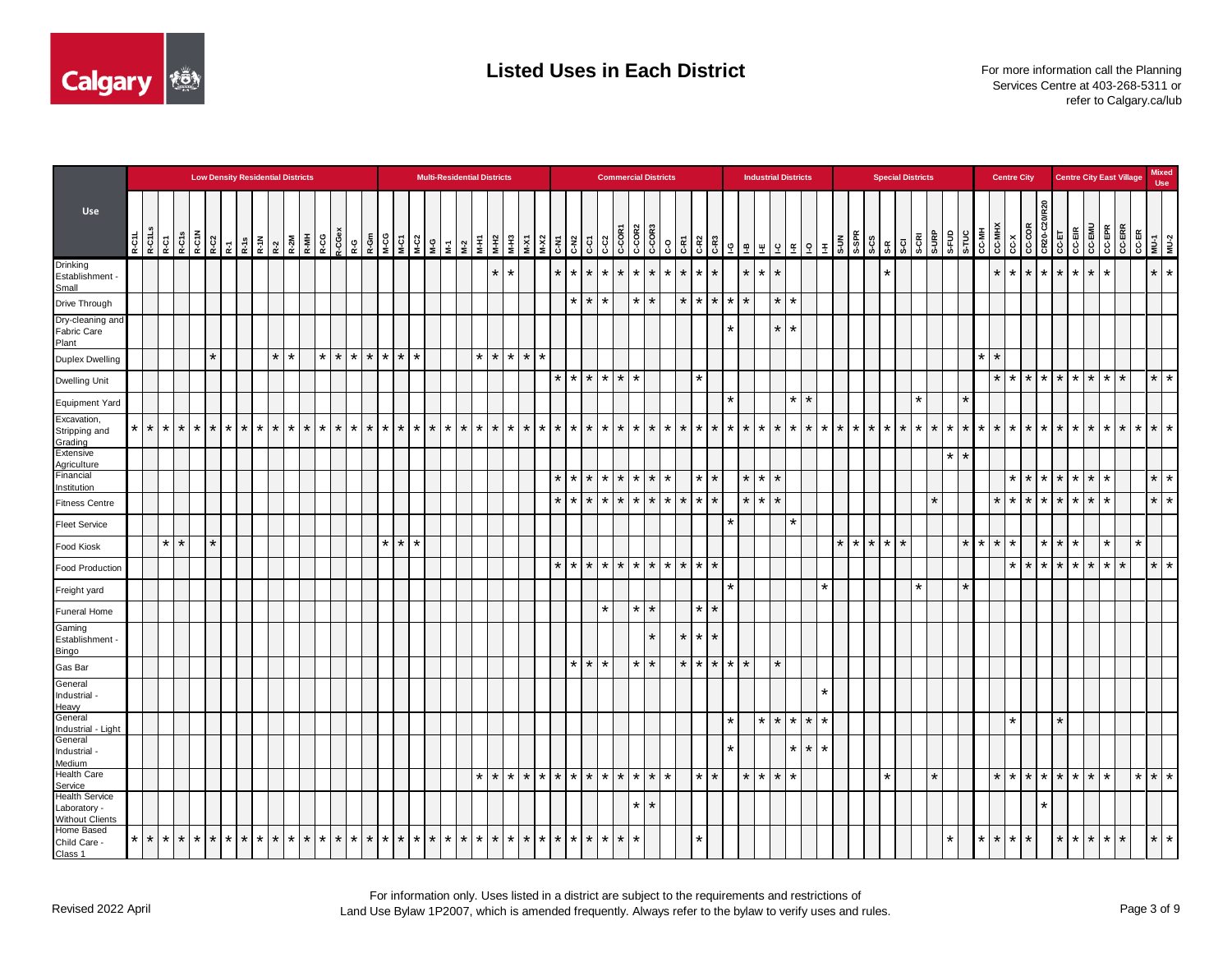

|                                                                 | <b>Low Density Residential Districts</b> |             |                 |  |         |                         |  |  |  |         |  |                    |         |                 |         |         |         | <b>Multi-Residential Districts</b> |             |         |         |         |                 |                                                                                                                                                                                                                                     |                    |         | <b>Commercial Districts</b> |         |                                                                                                                                   |         |         |                 |                 |                 |                   |         | <b>Industrial Districts</b> |         |                 |                    |             | <b>Special Districts</b> |         |         |                    |        |                    | <b>Centre City</b>      |             |                   |            |                     |                 | <b>Centre City East Village</b>                                                                                                                                                          |                       | <b>Mixed</b><br><b>Use</b> |         |
|-----------------------------------------------------------------|------------------------------------------|-------------|-----------------|--|---------|-------------------------|--|--|--|---------|--|--------------------|---------|-----------------|---------|---------|---------|------------------------------------|-------------|---------|---------|---------|-----------------|-------------------------------------------------------------------------------------------------------------------------------------------------------------------------------------------------------------------------------------|--------------------|---------|-----------------------------|---------|-----------------------------------------------------------------------------------------------------------------------------------|---------|---------|-----------------|-----------------|-----------------|-------------------|---------|-----------------------------|---------|-----------------|--------------------|-------------|--------------------------|---------|---------|--------------------|--------|--------------------|-------------------------|-------------|-------------------|------------|---------------------|-----------------|------------------------------------------------------------------------------------------------------------------------------------------------------------------------------------------|-----------------------|----------------------------|---------|
| Use                                                             | R-C1L-S<br>R-C1L-S                       |             | R-C1<br>R-C15   |  |         |                         |  |  |  |         |  | 2-CGe:<br>R-CG     |         |                 |         |         |         |                                    |             |         |         |         |                 | $\begin{array}{ c c c }\n\hline\n\textbf{x} & \textbf{x} & \textbf{y} \\ \hline\n\textbf{x} & \textbf{x} & \textbf{y} \\ \hline\n\textbf{y} & \textbf{y} & \textbf{y} \\ \hline\n\textbf{y} & \textbf{y} & \textbf{y}\n\end{array}$ | $C-C1$             |         | C-C2<br>C-COR1              |         | $\begin{array}{c c}\n\hline\n\text{C-CORB} \\ \hline\n\text{C-CORB} \\ \hline\n\text{C-ORB} \\ \hline\n\text{C-ORB}\n\end{array}$ |         |         |                 |                 |                 |                   |         |                             |         |                 |                    |             |                          |         |         |                    |        |                    |                         |             |                   |            |                     |                 | $\begin{array}{c c} \n\overline{x} & \text{if } x \in \mathbb{R} \\ \n\hline\n\text{C} & \text{C} & \text{C} & \text{C} \\ \n\text{C} & \text{C} & \text{C} & \text{C} \\ \n\end{array}$ | CC-ER<br>MU-1<br>MU-2 |                            |         |
| Drinking<br>Establishment -<br>Small                            |                                          |             |                 |  |         |                         |  |  |  |         |  |                    |         |                 |         |         |         |                                    |             | $\star$ | $\star$ |         |                 | $\star$                                                                                                                                                                                                                             | $\star$<br>$\star$ | $\star$ | $\star$                     | 1* I    | $\star$                                                                                                                           | $\star$ | $\star$ | $\star$         | $\star$         |                 | $\star$           | $\star$ | $\star$                     |         |                 |                    | $\star$     |                          |         |         |                    |        | $\star$<br>$\star$ | $\pm$                   |             | $\star$   $\star$ | $\star$ l  | $\star$             | $\star$         |                                                                                                                                                                                          |                       | $\star$ $\star$            |         |
| Drive Through                                                   |                                          |             |                 |  |         |                         |  |  |  |         |  |                    |         |                 |         |         |         |                                    |             |         |         |         |                 |                                                                                                                                                                                                                                     | $\star$            | $\star$ |                             |         |                                                                                                                                   |         | $\star$ | $\star$         | $\star$         | $\star$         | $\star$           |         | $\star$                     | $\star$ |                 |                    |             |                          |         |         |                    |        |                    |                         |             |                   |            |                     |                 |                                                                                                                                                                                          |                       |                            |         |
| Dry-cleaning and<br>Fabric Care<br>Plant                        |                                          |             |                 |  |         |                         |  |  |  |         |  |                    |         |                 |         |         |         |                                    |             |         |         |         |                 |                                                                                                                                                                                                                                     |                    |         |                             |         |                                                                                                                                   |         |         |                 |                 | $\star$         |                   |         | $\star$                     | $\star$ |                 |                    |             |                          |         |         |                    |        |                    |                         |             |                   |            |                     |                 |                                                                                                                                                                                          |                       |                            |         |
| Duplex Dwelling                                                 |                                          |             |                 |  | $\star$ |                         |  |  |  |         |  | $\star$<br>$\star$ |         | $\star$ $\star$ | $\star$ | $\star$ | $\star$ |                                    | $*$ * * *   |         |         |         | $\star$         |                                                                                                                                                                                                                                     |                    |         |                             |         |                                                                                                                                   |         |         |                 |                 |                 |                   |         |                             |         |                 |                    |             |                          |         |         | $\star$            | $\ast$ |                    |                         |             |                   |            |                     |                 |                                                                                                                                                                                          |                       |                            |         |
| Dwelling Unit                                                   |                                          |             |                 |  |         |                         |  |  |  |         |  |                    |         |                 |         |         |         |                                    |             |         |         |         |                 | $\star$<br>$\star$                                                                                                                                                                                                                  | $\star$            |         | $*$ $*$ $*$                 |         |                                                                                                                                   |         |         | $\star$         |                 |                 |                   |         |                             |         |                 |                    |             |                          |         |         |                    |        | $\star$<br>$\star$ |                         |             |                   |            |                     | $*$ * * * * * * | $\star$                                                                                                                                                                                  |                       | $\star$                    | $\star$ |
| Equipment Yard                                                  |                                          |             |                 |  |         |                         |  |  |  |         |  |                    |         |                 |         |         |         |                                    |             |         |         |         |                 |                                                                                                                                                                                                                                     |                    |         |                             |         |                                                                                                                                   |         |         |                 |                 | $\star$         |                   |         |                             | $\star$ | $\star$         |                    |             | $\star$                  |         |         | $\star$            |        |                    |                         |             |                   |            |                     |                 |                                                                                                                                                                                          |                       |                            |         |
| Excavation,<br>Stripping and<br>Grading                         | $\star$                                  | $\star$     | $\star$ $\star$ |  |         | $*$ $*$ $*$ $*$ $*$ $*$ |  |  |  | $*$ $*$ |  | $\star$<br>$\star$ |         | $*$ $*$         | $\star$ | $\star$ |         | $*$ $*$ $*$ $*$ $*$ $*$ $*$        |             |         | $\star$ | $\star$ |                 | $*$ $*$ $*$                                                                                                                                                                                                                         |                    | $\star$ | $*$ $*$ $*$ $*$ $*$ $*$     |         |                                                                                                                                   |         |         | $*$   $*$       | $\star$         | $\star$         | $\star$           | $\star$ | $*$ $*$ $*$                 |         |                 | $*$ $*$ $*$        | $*$ $*$ $*$ | $\star$                  | $\star$ | $\star$ | $\star$<br>$\star$ |        |                    | $*$ $*$ $*$ $*$ $*$ $*$ |             |                   |            | $*$ $*$             | $\star$         | $\star$                                                                                                                                                                                  |                       | $*$ $*$ $*$                |         |
| Extensive<br>Agriculture                                        |                                          |             |                 |  |         |                         |  |  |  |         |  |                    |         |                 |         |         |         |                                    |             |         |         |         |                 |                                                                                                                                                                                                                                     |                    |         |                             |         |                                                                                                                                   |         |         |                 |                 |                 |                   |         |                             |         |                 |                    |             |                          |         | $\star$ | $\star$            |        |                    |                         |             |                   |            |                     |                 |                                                                                                                                                                                          |                       |                            |         |
| Financial<br>Institution                                        |                                          |             |                 |  |         |                         |  |  |  |         |  |                    |         |                 |         |         |         |                                    |             |         |         |         |                 | $\star$                                                                                                                                                                                                                             | $\star$<br>$\star$ |         | $*$ * * * *                 |         |                                                                                                                                   | $\star$ |         | $\star$ $\star$ |                 |                 | $\star$ $\star$   |         | $\star$                     |         |                 |                    |             |                          |         |         |                    |        | $\star$            |                         |             |                   |            | $* * * * * *$       | $\star$         |                                                                                                                                                                                          |                       | $\star$   $\star$          |         |
| <b>Fitness Centre</b>                                           |                                          |             |                 |  |         |                         |  |  |  |         |  |                    |         |                 |         |         |         |                                    |             |         |         |         |                 | $\ast$<br>$\ast$                                                                                                                                                                                                                    | $\star$            | $\star$ | l *                         |         | $*$ $*$                                                                                                                           | $\star$ | $\star$ | $\star$         | $\star$         |                 | $\star$           | $\star$ | $\star$                     |         |                 |                    |             |                          | $\star$ |         |                    |        | $\star$            | $\star$                 |             | $*$ $*$           | $^{\star}$ | $\star$             | $\ast$          |                                                                                                                                                                                          |                       | $\star$                    | $\star$ |
| <b>Fleet Service</b>                                            |                                          |             |                 |  |         |                         |  |  |  |         |  |                    |         |                 |         |         |         |                                    |             |         |         |         |                 |                                                                                                                                                                                                                                     |                    |         |                             |         |                                                                                                                                   |         |         |                 |                 | $\star$         |                   |         |                             | $\star$ |                 |                    |             |                          |         |         |                    |        |                    |                         |             |                   |            |                     |                 |                                                                                                                                                                                          |                       |                            |         |
| Food Kiosk                                                      |                                          |             | $\star$ $\star$ |  | $\star$ |                         |  |  |  |         |  |                    |         |                 | $\star$ | $\star$ | $\star$ |                                    |             |         |         |         |                 |                                                                                                                                                                                                                                     |                    |         |                             |         |                                                                                                                                   |         |         |                 |                 |                 |                   |         |                             |         |                 | $\star$<br>$\star$ | $*$ * *     |                          |         |         | $\star$ $\vdash$   |        | $\star$            |                         |             | $\star$ $\star$   | $\star$    |                     | $\star$         |                                                                                                                                                                                          | $\star$               |                            |         |
| <b>Food Production</b>                                          |                                          |             |                 |  |         |                         |  |  |  |         |  |                    |         |                 |         |         |         |                                    |             |         |         |         |                 | $\star$                                                                                                                                                                                                                             | $\star$<br>$\star$ |         | * * * * * * * *             |         |                                                                                                                                   |         |         |                 | $\star$         |                 |                   |         |                             |         |                 |                    |             |                          |         |         |                    |        | $\star$            |                         | $*$ $*$ $*$ |                   | $\star$    | $\star$             | $\star$         | $\star$                                                                                                                                                                                  |                       | $\star$                    | $\star$ |
| Freight yard                                                    |                                          |             |                 |  |         |                         |  |  |  |         |  |                    |         |                 |         |         |         |                                    |             |         |         |         |                 |                                                                                                                                                                                                                                     |                    |         |                             |         |                                                                                                                                   |         |         |                 |                 | $\star$         |                   |         |                             |         | $\star$         |                    |             | $\star$                  |         |         | $\star$            |        |                    |                         |             |                   |            |                     |                 |                                                                                                                                                                                          |                       |                            |         |
| <b>Funeral Home</b>                                             |                                          |             |                 |  |         |                         |  |  |  |         |  |                    |         |                 |         |         |         |                                    |             |         |         |         |                 |                                                                                                                                                                                                                                     |                    | $\star$ |                             |         | $*$   $*$                                                                                                                         |         |         | $\star$         | $\star$         |                 |                   |         |                             |         |                 |                    |             |                          |         |         |                    |        |                    |                         |             |                   |            |                     |                 |                                                                                                                                                                                          |                       |                            |         |
| Gaming<br>Establishment -<br>Bingo                              |                                          |             |                 |  |         |                         |  |  |  |         |  |                    |         |                 |         |         |         |                                    |             |         |         |         |                 |                                                                                                                                                                                                                                     |                    |         |                             |         |                                                                                                                                   |         |         | $*$ $*$         | $\star$         |                 |                   |         |                             |         |                 |                    |             |                          |         |         |                    |        |                    |                         |             |                   |            |                     |                 |                                                                                                                                                                                          |                       |                            |         |
| Gas Bar                                                         |                                          |             |                 |  |         |                         |  |  |  |         |  |                    |         |                 |         |         |         |                                    |             |         |         |         |                 |                                                                                                                                                                                                                                     | $\star$<br>$\ast$  | $\star$ |                             |         | $\star$ $\star$                                                                                                                   |         |         | $*$ $*$ $*$     |                 | $\star$ $\star$ |                   |         | $\star$                     |         |                 |                    |             |                          |         |         |                    |        |                    |                         |             |                   |            |                     |                 |                                                                                                                                                                                          |                       |                            |         |
| General<br>Industrial<br>Heavy                                  |                                          |             |                 |  |         |                         |  |  |  |         |  |                    |         |                 |         |         |         |                                    |             |         |         |         |                 |                                                                                                                                                                                                                                     |                    |         |                             |         |                                                                                                                                   |         |         |                 |                 |                 |                   |         |                             |         |                 |                    |             |                          |         |         |                    |        |                    |                         |             |                   |            |                     |                 |                                                                                                                                                                                          |                       |                            |         |
| General<br>Industrial - Light                                   |                                          |             |                 |  |         |                         |  |  |  |         |  |                    |         |                 |         |         |         |                                    |             |         |         |         |                 |                                                                                                                                                                                                                                     |                    |         |                             |         |                                                                                                                                   |         |         |                 |                 | $\star$         |                   | $\star$ | $\star$                     | $\star$ | $\star$         |                    |             |                          |         |         |                    |        |                    |                         |             |                   |            |                     |                 |                                                                                                                                                                                          |                       |                            |         |
| General<br>Industrial<br>Medium                                 |                                          |             |                 |  |         |                         |  |  |  |         |  |                    |         |                 |         |         |         |                                    |             |         |         |         |                 |                                                                                                                                                                                                                                     |                    |         |                             |         |                                                                                                                                   |         |         |                 |                 | $\star$         |                   |         |                             | $\star$ | $\star$<br>l ÷k |                    |             |                          |         |         |                    |        |                    |                         |             |                   |            |                     |                 |                                                                                                                                                                                          |                       |                            |         |
| <b>Health Care</b><br>Service                                   |                                          |             |                 |  |         |                         |  |  |  |         |  |                    |         |                 |         |         |         |                                    | $*$ $*$ $*$ |         |         | $\star$ |                 | $*$ $*$ $*$                                                                                                                                                                                                                         |                    | $\star$ | $*$ $*$ $*$ $*$ $*$         |         |                                                                                                                                   | $\star$ |         |                 | $\star$ $\star$ |                 | $\star$   $\star$ |         | $\star$                     | $\star$ |                 |                    | $\star$     |                          | $\star$ |         |                    |        |                    |                         |             |                   |            | * * * * * * * * * * | $\star$         |                                                                                                                                                                                          |                       | $*$ $*$ $*$                |         |
| <b>Health Service</b><br>Laboratory -<br><b>Without Clients</b> |                                          |             |                 |  |         |                         |  |  |  |         |  |                    |         |                 |         |         |         |                                    |             |         |         |         |                 |                                                                                                                                                                                                                                     |                    |         |                             | $\star$ | $\star$                                                                                                                           |         |         |                 |                 |                 |                   |         |                             |         |                 |                    |             |                          |         |         |                    |        |                    |                         |             |                   |            |                     |                 |                                                                                                                                                                                          |                       |                            |         |
| Home Based<br>Child Care -<br>Class 1                           | $\star$                                  | $*$ $*$ $*$ |                 |  |         | * * * * * * * * * *     |  |  |  |         |  | $\star$<br>$\star$ | $\star$ | $\vert * \vert$ | $\star$ | $\star$ |         | $*$ $*$ $*$ $*$ $*$ $*$            |             |         | $\star$ | $\star$ | $\star$ $\star$ | $\star$                                                                                                                                                                                                                             | $\star$            |         | $*$ $*$ $*$                 |         |                                                                                                                                   |         |         | $\star$         |                 |                 |                   |         |                             |         |                 |                    |             |                          |         | $\star$ | $\star$            |        | $\star$            | $\star$ $\star$         |             | $\vert * \vert$   |            |                     | $*$ * *         | $\star$                                                                                                                                                                                  |                       | $\star$ $\star$            |         |

For information only. Uses listed in a district are subject to the requirements and restrictions of Land Use Bylaw 1P2007, which is amended frequently. Always refer to the bylaw to verify uses and rules.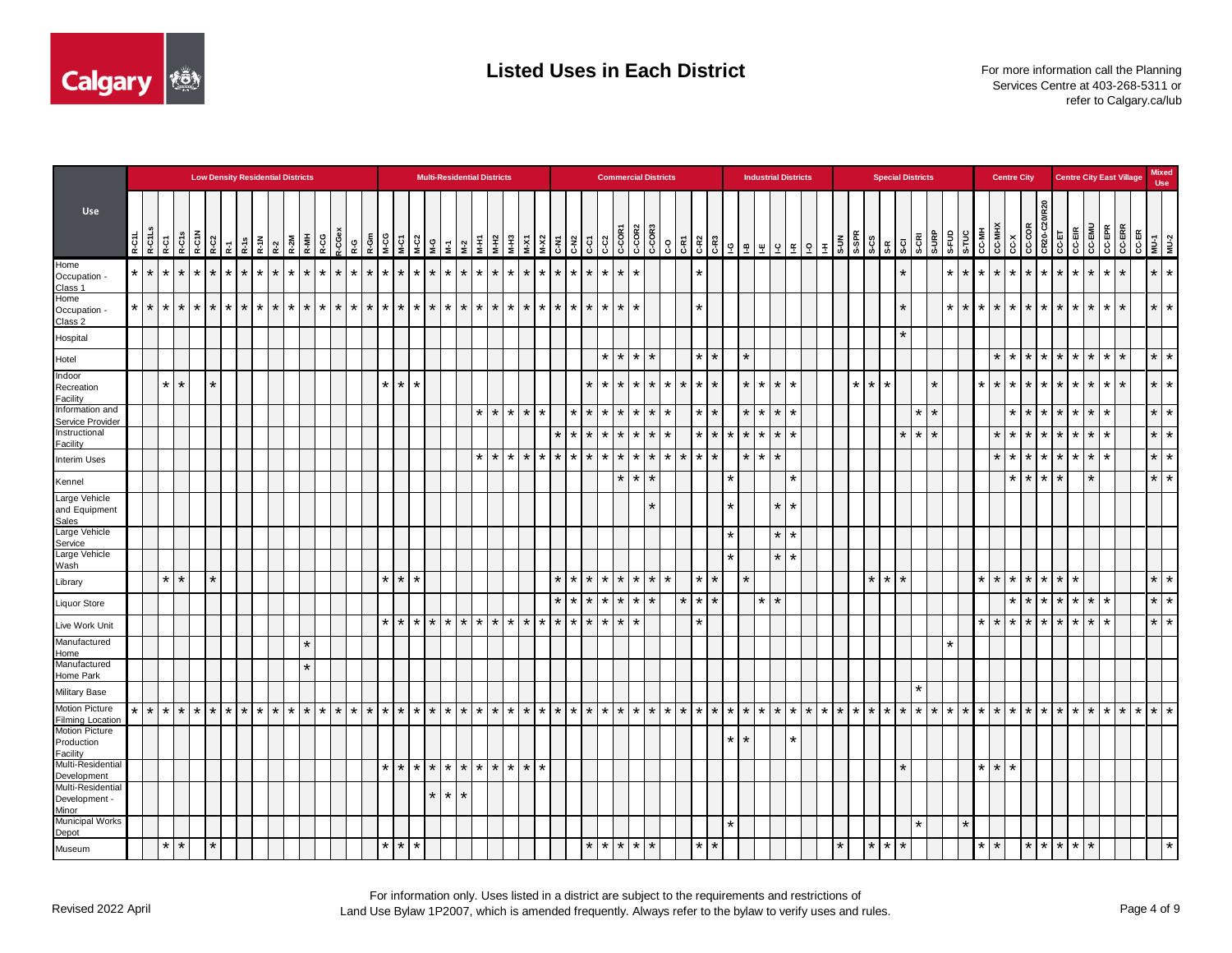

|                                                  |         |                   |                 |                        |                    |         | <b>Low Density Residential Districts</b> |           |                                      |                 |         |         |         |         |                 |         |                 |         |                 |                 |                 |         | <b>Multi-Residential Districts</b> |                 |         |         |                 |                                                                                                                                                                                                           |         |         | <b>Commercial Districts</b> |             |                 |         |                 |         |         |                 |                 |         |                   | <b>Industrial Districts</b> |         |                                                                                                                                                                                                                                                                                                                     |         |                 | <b>Special Districts</b> |         |                 |                |           |         |         |                 | <b>Centre City</b> |                                                                                                                                                                                                                                                                      |                 |           |         |                 |                  | <b>Centre City East Village</b> |                       | <b>Mixed</b><br><b>Use</b> |  |
|--------------------------------------------------|---------|-------------------|-----------------|------------------------|--------------------|---------|------------------------------------------|-----------|--------------------------------------|-----------------|---------|---------|---------|---------|-----------------|---------|-----------------|---------|-----------------|-----------------|-----------------|---------|------------------------------------|-----------------|---------|---------|-----------------|-----------------------------------------------------------------------------------------------------------------------------------------------------------------------------------------------------------|---------|---------|-----------------------------|-------------|-----------------|---------|-----------------|---------|---------|-----------------|-----------------|---------|-------------------|-----------------------------|---------|---------------------------------------------------------------------------------------------------------------------------------------------------------------------------------------------------------------------------------------------------------------------------------------------------------------------|---------|-----------------|--------------------------|---------|-----------------|----------------|-----------|---------|---------|-----------------|--------------------|----------------------------------------------------------------------------------------------------------------------------------------------------------------------------------------------------------------------------------------------------------------------|-----------------|-----------|---------|-----------------|------------------|---------------------------------|-----------------------|----------------------------|--|
| Use                                              |         | R-C1L.<br>R-C1L.S | R-C1            | R-C1N<br>R-C1N<br>R-C2 |                    |         | R-1s<br>$\overline{\mathbf{x}}$          |           | $R - 2$ $R - 2$ $R - 2M$ $R - M + 1$ |                 |         | R-CG    | t-CGe   | ę-g     | R-Gr            | ိုင္ပိ  | M-C1            |         |                 |                 |                 |         |                                    |                 | $M-X1$  |         |                 | $\begin{array}{c c c}\n\textbf{1} & \textbf{2} & \textbf{3} \\ \hline\n\textbf{2} & \textbf{3} & \textbf{5} \\ \textbf{3} & \textbf{4} & \textbf{5} \\ \textbf{5} & \textbf{6} & \textbf{6}\n\end{array}$ |         |         |                             |             |                 |         |                 |         |         |                 |                 | 뽀       |                   |                             |         | $\frac{1}{2}$ $\frac{1}{2}$ $\frac{1}{2}$ $\frac{1}{2}$ $\frac{1}{2}$ $\frac{1}{2}$ $\frac{1}{2}$ $\frac{1}{2}$ $\frac{1}{2}$ $\frac{1}{2}$ $\frac{1}{2}$ $\frac{1}{2}$ $\frac{1}{2}$ $\frac{1}{2}$ $\frac{1}{2}$ $\frac{1}{2}$ $\frac{1}{2}$ $\frac{1}{2}$ $\frac{1}{2}$ $\frac{1}{2}$ $\frac{1}{2}$ $\frac{1}{2}$ |         |                 | $5-7$                    | S-CRI   |                 | a-uRP<br>S-FUD |           | S-TUC   | CC-MH   | <b>CC-MHX</b>   |                    | $\begin{array}{ c c c c }\hline \text{C} & \text{OPE} & \text{OPE} & \text{OPE} \\ \hline \text{C} & \text{C} & \text{C} & \text{C} & \text{CPE} & \text{OSE} \\ \hline \text{C} & \text{C} & \text{C} & \text{CPE} & \text{CPE} & \text{OSE} \\ \hline \end{array}$ | ន្ល             |           |         | <b>CC-EMU</b>   | CC-EPR<br>CC-ERR |                                 | CC-ER<br>MU-1<br>MU-2 |                            |  |
| Home<br>Occupation -<br>Class 1                  | $\star$ | $\star$           | $\star$         | $\star$                | $\star$<br>$\star$ | $\star$ |                                          |           | $\star$                              |                 | $\star$ | $\star$ | $\star$ | $\star$ | $\star$         |         | $\star$         | $\star$ |                 |                 | $\star$         | $\star$ | $\star$                            | $\star$         | $\star$ |         | $\star$         | $\star$                                                                                                                                                                                                   | $\star$ | $\star$ |                             | $\star$     |                 |         |                 | ¥       |         |                 |                 |         |                   |                             |         |                                                                                                                                                                                                                                                                                                                     |         |                 | $\star$                  |         |                 | $\star$        |           | $\star$ |         | $\star$         | $\star$            | $\star$                                                                                                                                                                                                                                                              | $\star$ 1       | $\star$   | $\star$ | $\star$         | $\star$          | $\star$                         |                       | $\star$ $\star$            |  |
| Home<br>Occupation -<br>Class 2                  | $\star$ | $\star$           | $\star$         | $\star$                | $\star$<br>$\star$ | $\star$ | l *                                      | $\star$ 1 |                                      | $\star$ $\star$ | $\star$ | $\star$ | $\star$ | $\star$ | $\star$         | $\star$ | $\star$         |         | $*$ * * * *     |                 |                 |         | $*$ $*$ $*$                        |                 | $\star$ |         | $\star$ $\star$ | $\star$                                                                                                                                                                                                   | $\star$ | $\star$ | $\star$                     | $\star$     |                 |         |                 | *       |         |                 |                 |         |                   |                             |         |                                                                                                                                                                                                                                                                                                                     |         |                 | $^\star$                 |         |                 | $\star$        |           | $\star$ | $\star$ |                 | $*$ $*$ $*$        |                                                                                                                                                                                                                                                                      | $\star$ $\star$ |           | $\star$ | $\star$         | $\star$          | $\star$                         |                       | $\star$   $\star$          |  |
| Hospital                                         |         |                   |                 |                        |                    |         |                                          |           |                                      |                 |         |         |         |         |                 |         |                 |         |                 |                 |                 |         |                                    |                 |         |         |                 |                                                                                                                                                                                                           |         |         |                             |             |                 |         |                 |         |         |                 |                 |         |                   |                             |         |                                                                                                                                                                                                                                                                                                                     |         |                 | $\star$                  |         |                 |                |           |         |         |                 |                    |                                                                                                                                                                                                                                                                      |                 |           |         |                 |                  |                                 |                       |                            |  |
| Hotel                                            |         |                   |                 |                        |                    |         |                                          |           |                                      |                 |         |         |         |         |                 |         |                 |         |                 |                 |                 |         |                                    |                 |         |         |                 |                                                                                                                                                                                                           |         | $\star$ |                             |             | $\star$ $\star$ |         |                 | *       |         |                 | $\star$         |         |                   |                             |         |                                                                                                                                                                                                                                                                                                                     |         |                 |                          |         |                 |                |           |         |         |                 | $*$   $*$          |                                                                                                                                                                                                                                                                      |                 | $\star$   | $\star$ | $\star$         | $\star$          | $\star$                         |                       | $\star$   $\star$          |  |
| Indoor<br>Recreation<br>Facility                 |         |                   | $\star$         | $\star$                | $\star$            |         |                                          |           |                                      |                 |         |         |         |         |                 | $\star$ | $\star$         | $\star$ |                 |                 |                 |         |                                    |                 |         |         |                 |                                                                                                                                                                                                           | $\star$ | $\ast$  | $\star$                     | $\star$     | $\star$         | $\star$ | $\star$         | $\star$ | $\star$ |                 | $\star$         | $\star$ | $\star$           |                             |         |                                                                                                                                                                                                                                                                                                                     | $\star$ | $\star$         | $\star$                  |         | $\star$         |                |           |         |         | $\star$         | $\star$ $\star$    |                                                                                                                                                                                                                                                                      | $\star$         | $\star$   | $\star$ | $\star$         | $\star$          | $\star$                         |                       | $\star$   $\star$          |  |
| Information and<br>Service Provider              |         |                   |                 |                        |                    |         |                                          |           |                                      |                 |         |         |         |         |                 |         |                 |         |                 |                 |                 |         |                                    | $\star$ $\star$ | $\star$ | $\star$ |                 | $\star$                                                                                                                                                                                                   | $\star$ | $\star$ | $\star$                     |             | $\star$ $\star$ | $\star$ |                 | *       | $\star$ |                 | $\star$         | $\star$ | $\star$   $\star$ |                             |         |                                                                                                                                                                                                                                                                                                                     |         |                 |                          | $\star$ | $\star$         |                |           |         |         |                 | $*$ $*$            |                                                                                                                                                                                                                                                                      | $\star$         | $\star$   | $\star$ | $\star$         | $\star$          |                                 |                       | $*$   $*$                  |  |
| Instructional<br>Facility                        |         |                   |                 |                        |                    |         |                                          |           |                                      |                 |         |         |         |         |                 |         |                 |         |                 |                 |                 |         |                                    |                 |         |         | $\star$         | $\star$                                                                                                                                                                                                   | $\star$ | $\star$ | $\star$                     |             | $\star$ $\star$ | $\star$ |                 | $\star$ | $\star$ | $\star$         | $\star$         | $\star$ | $\star$   $\star$ |                             |         |                                                                                                                                                                                                                                                                                                                     |         |                 | $\star$                  | $\star$ | $\star$         |                |           |         |         | $\star$         | $\star$ $\star$    |                                                                                                                                                                                                                                                                      | $\star$         | $\star$   | $\star$ | $\star$         | $\star$          |                                 |                       | $\star$   $\star$          |  |
| <b>Interim Uses</b>                              |         |                   |                 |                        |                    |         |                                          |           |                                      |                 |         |         |         |         |                 |         |                 |         |                 |                 |                 |         | $*$ $*$ $*$                        |                 | $\star$ | $\star$ | $\star$         | $\star$                                                                                                                                                                                                   | $\star$ | $\star$ |                             | $*$ $*$ $*$ |                 |         | $\star$ $\star$ | $\star$ | $\star$ |                 | $\star$         | $\star$ | $\star$           |                             |         |                                                                                                                                                                                                                                                                                                                     |         |                 |                          |         |                 |                |           |         |         |                 | $*$ $*$ $*$        |                                                                                                                                                                                                                                                                      | $\star$         | $\star$   | $\star$ | $\star$         | $\star$          |                                 |                       | $\star$ $\star$            |  |
| Kennel                                           |         |                   |                 |                        |                    |         |                                          |           |                                      |                 |         |         |         |         |                 |         |                 |         |                 |                 |                 |         |                                    |                 |         |         |                 |                                                                                                                                                                                                           |         |         | $\star$                     |             | $*$   $*$       |         |                 |         |         | $\star$         |                 |         |                   | $\star$                     |         |                                                                                                                                                                                                                                                                                                                     |         |                 |                          |         |                 |                |           |         |         |                 | $\star$   $\star$  |                                                                                                                                                                                                                                                                      | $\star$         | $\star$   |         | $\star$         |                  |                                 |                       | $\star$ $\star$            |  |
| Large Vehicle<br>and Equipment                   |         |                   |                 |                        |                    |         |                                          |           |                                      |                 |         |         |         |         |                 |         |                 |         |                 |                 |                 |         |                                    |                 |         |         |                 |                                                                                                                                                                                                           |         |         |                             |             |                 |         |                 |         |         | $\star$         |                 |         | $\star$           |                             |         |                                                                                                                                                                                                                                                                                                                     |         |                 |                          |         |                 |                |           |         |         |                 |                    |                                                                                                                                                                                                                                                                      |                 |           |         |                 |                  |                                 |                       |                            |  |
| Sales<br>Large Vehicle                           |         |                   |                 |                        |                    |         |                                          |           |                                      |                 |         |         |         |         |                 |         |                 |         |                 |                 |                 |         |                                    |                 |         |         |                 |                                                                                                                                                                                                           |         |         |                             |             |                 |         |                 |         |         | $\star$         |                 |         | $\star$   $\star$ |                             |         |                                                                                                                                                                                                                                                                                                                     |         |                 |                          |         |                 |                |           |         |         |                 |                    |                                                                                                                                                                                                                                                                      |                 |           |         |                 |                  |                                 |                       |                            |  |
| Service<br>Large Vehicle                         |         |                   |                 |                        |                    |         |                                          |           |                                      |                 |         |         |         |         |                 |         |                 |         |                 |                 |                 |         |                                    |                 |         |         |                 |                                                                                                                                                                                                           |         |         |                             |             |                 |         |                 |         |         | $\star$         |                 |         | $\star$ $\star$   |                             |         |                                                                                                                                                                                                                                                                                                                     |         |                 |                          |         |                 |                |           |         |         |                 |                    |                                                                                                                                                                                                                                                                      |                 |           |         |                 |                  |                                 |                       |                            |  |
| Wash<br>Library                                  |         |                   | $\star$         | $\star$                | $\star$            |         |                                          |           |                                      |                 |         |         |         |         |                 |         | $\star$         | $\star$ |                 |                 |                 |         |                                    |                 |         |         |                 |                                                                                                                                                                                                           | $\star$ | $\star$ |                             |             | $*$   $*$       |         |                 | ¥       |         |                 | $\star$         |         |                   |                             |         |                                                                                                                                                                                                                                                                                                                     |         | $\star$         | $\star$<br>$\star$       |         |                 |                |           |         |         |                 | $\star$   $\star$  |                                                                                                                                                                                                                                                                      |                 | $\star$   |         |                 |                  |                                 |                       | $*$   $*$                  |  |
| <b>Liquor Store</b>                              |         |                   |                 |                        |                    |         |                                          |           |                                      |                 |         |         |         |         |                 |         |                 |         |                 |                 |                 |         |                                    |                 |         |         | $\star$         | $\star$                                                                                                                                                                                                   | $\star$ | $\star$ |                             | $*$ $*$ $*$ |                 |         | $\star$         | $\star$ | $\star$ |                 |                 | $\star$ | $\star$           |                             |         |                                                                                                                                                                                                                                                                                                                     |         |                 |                          |         |                 |                |           |         |         |                 | $*$ $*$            |                                                                                                                                                                                                                                                                      | $\star$         | $\star$   | $\star$ | $\star$ $\star$ |                  |                                 |                       | $*$ $*$                    |  |
| Live Work Unit                                   |         |                   |                 |                        |                    |         |                                          |           |                                      |                 |         |         |         |         |                 |         | $\star$ $\star$ |         | $*$ * * * *     |                 |                 |         | $*$ $*$ $*$                        |                 | $\star$ |         |                 | $*$ * * *                                                                                                                                                                                                 |         | $\star$ |                             | $*$   $*$   |                 |         |                 | ¥       |         |                 |                 |         |                   |                             |         |                                                                                                                                                                                                                                                                                                                     |         |                 |                          |         |                 |                |           |         | $\star$ |                 | $*$ $*$ $*$        |                                                                                                                                                                                                                                                                      | $\star$         | $\star$   | $\star$ | $\star$         | $\star$          |                                 |                       | $*$   $*$                  |  |
| Manufactured<br>Home                             |         |                   |                 |                        |                    |         |                                          |           |                                      |                 | $\star$ |         |         |         |                 |         |                 |         |                 |                 |                 |         |                                    |                 |         |         |                 |                                                                                                                                                                                                           |         |         |                             |             |                 |         |                 |         |         |                 |                 |         |                   |                             |         |                                                                                                                                                                                                                                                                                                                     |         |                 |                          |         |                 | $\star$        |           |         |         |                 |                    |                                                                                                                                                                                                                                                                      |                 |           |         |                 |                  |                                 |                       |                            |  |
| Manufactured                                     |         |                   |                 |                        |                    |         |                                          |           |                                      |                 |         |         |         |         |                 |         |                 |         |                 |                 |                 |         |                                    |                 |         |         |                 |                                                                                                                                                                                                           |         |         |                             |             |                 |         |                 |         |         |                 |                 |         |                   |                             |         |                                                                                                                                                                                                                                                                                                                     |         |                 |                          |         |                 |                |           |         |         |                 |                    |                                                                                                                                                                                                                                                                      |                 |           |         |                 |                  |                                 |                       |                            |  |
| Home Park<br><b>Military Base</b>                |         |                   |                 |                        |                    |         |                                          |           |                                      |                 |         |         |         |         |                 |         |                 |         |                 |                 |                 |         |                                    |                 |         |         |                 |                                                                                                                                                                                                           |         |         |                             |             |                 |         |                 |         |         |                 |                 |         |                   |                             |         |                                                                                                                                                                                                                                                                                                                     |         |                 |                          | $\star$ |                 |                |           |         |         |                 |                    |                                                                                                                                                                                                                                                                      |                 |           |         |                 |                  |                                 |                       |                            |  |
| <b>Motion Picture</b>                            | $\star$ | $\star$           | $\mathbf{r}$    | $\star$                | $\star$<br>$\star$ |         | $\star$                                  |           | $\star$ $\star$                      | $\star$         | $\star$ | $\star$ | $\star$ |         | $\star$ $\star$ | $\star$ | $\star$         |         | $\star$ $\star$ |                 | $\star$ $\star$ |         | $*$ $*$ $*$                        |                 | $\star$ | $\star$ | $\star$         | $\star$                                                                                                                                                                                                   | $\star$ | $\star$ |                             | $*$ $*$ $*$ |                 |         | $*$ *           | $\star$ | $\star$ | $\star$ $\star$ |                 | $\star$ | $*$ *             |                             | $*$ $*$ |                                                                                                                                                                                                                                                                                                                     | $*$ $*$ |                 | $\star$<br>$\star$       |         | $\star$ $\star$ |                | $*$   $*$ |         | $\star$ |                 | $*$ $*$ $*$        |                                                                                                                                                                                                                                                                      | $\star$         | $*$   $*$ |         | $\star$         | $*$ *            |                                 | $*$ $*$ $*$           |                            |  |
| <b>Filming Location</b><br><b>Motion Picture</b> |         |                   |                 |                        |                    |         |                                          |           |                                      |                 |         |         |         |         |                 |         |                 |         |                 |                 |                 |         |                                    |                 |         |         |                 |                                                                                                                                                                                                           |         |         |                             |             |                 |         |                 |         |         |                 | $\star$ $\star$ |         |                   | $\star$                     |         |                                                                                                                                                                                                                                                                                                                     |         |                 |                          |         |                 |                |           |         |         |                 |                    |                                                                                                                                                                                                                                                                      |                 |           |         |                 |                  |                                 |                       |                            |  |
| Production<br>Facility                           |         |                   |                 |                        |                    |         |                                          |           |                                      |                 |         |         |         |         |                 |         |                 |         |                 |                 |                 |         |                                    |                 |         |         |                 |                                                                                                                                                                                                           |         |         |                             |             |                 |         |                 |         |         |                 |                 |         |                   |                             |         |                                                                                                                                                                                                                                                                                                                     |         |                 |                          |         |                 |                |           |         |         |                 |                    |                                                                                                                                                                                                                                                                      |                 |           |         |                 |                  |                                 |                       |                            |  |
| Multi-Residential<br>Development                 |         |                   |                 |                        |                    |         |                                          |           |                                      |                 |         |         |         |         |                 | $\star$ | $\star$         |         |                 |                 |                 |         | * * * * * * * *                    |                 | $\star$ | $\star$ |                 |                                                                                                                                                                                                           |         |         |                             |             |                 |         |                 |         |         |                 |                 |         |                   |                             |         |                                                                                                                                                                                                                                                                                                                     |         |                 | $\star$                  |         |                 |                |           |         | $\star$ | $\star$ $\star$ |                    |                                                                                                                                                                                                                                                                      |                 |           |         |                 |                  |                                 |                       |                            |  |
| Multi-Residential<br>Development -<br>Minor      |         |                   |                 |                        |                    |         |                                          |           |                                      |                 |         |         |         |         |                 |         |                 |         |                 | $\star$ $\star$ | $\star$         |         |                                    |                 |         |         |                 |                                                                                                                                                                                                           |         |         |                             |             |                 |         |                 |         |         |                 |                 |         |                   |                             |         |                                                                                                                                                                                                                                                                                                                     |         |                 |                          |         |                 |                |           |         |         |                 |                    |                                                                                                                                                                                                                                                                      |                 |           |         |                 |                  |                                 |                       |                            |  |
| <b>Municipal Works</b>                           |         |                   |                 |                        |                    |         |                                          |           |                                      |                 |         |         |         |         |                 |         |                 |         |                 |                 |                 |         |                                    |                 |         |         |                 |                                                                                                                                                                                                           |         |         |                             |             |                 |         |                 |         |         | $\star$         |                 |         |                   |                             |         |                                                                                                                                                                                                                                                                                                                     |         |                 |                          | $\star$ |                 |                |           | $\star$ |         |                 |                    |                                                                                                                                                                                                                                                                      |                 |           |         |                 |                  |                                 |                       |                            |  |
| Depot<br>Museum                                  |         |                   | $\star$ $\star$ |                        | $\star$            |         |                                          |           |                                      |                 |         |         |         |         |                 | $\star$ | $\star$         | $\star$ |                 |                 |                 |         |                                    |                 |         |         |                 |                                                                                                                                                                                                           | $\star$ |         | $*$ * * *                   |             |                 |         |                 | *       | $\star$ |                 |                 |         |                   |                             |         | $\star$                                                                                                                                                                                                                                                                                                             |         | $\star$ $\star$ | $\star$                  |         |                 |                |           |         | $\star$ | $\star$         |                    | $\star$                                                                                                                                                                                                                                                              | $\star$         | $\star$   | ¥       | $\star$         |                  |                                 |                       | $\star$                    |  |

For information only. Uses listed in a district are subject to the requirements and restrictions of Land Use Bylaw 1P2007, which is amended frequently. Always refer to the bylaw to verify uses and rules.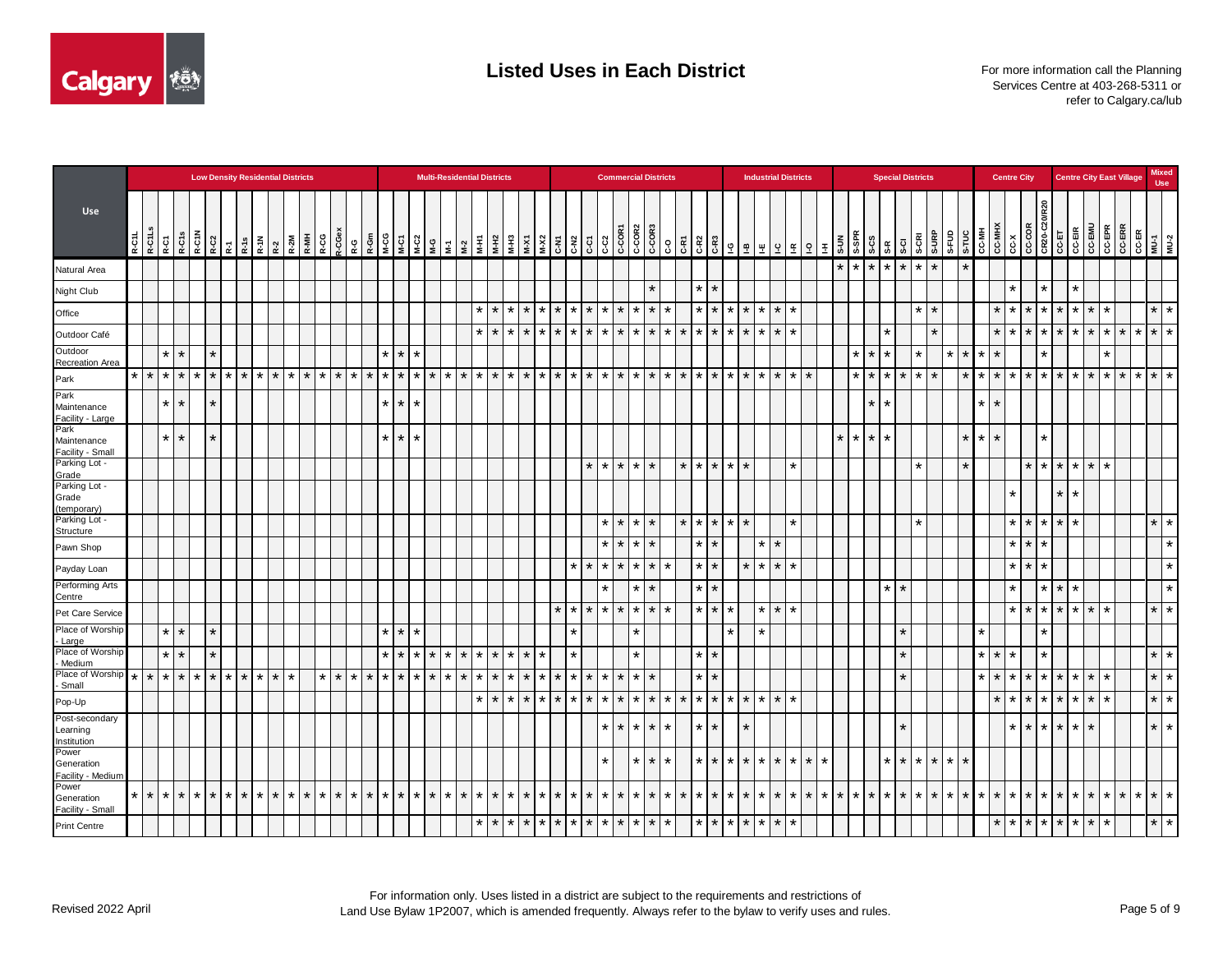

|                                           |                 |         |                    |         | <b>Low Density Residential Districts</b> |         |          |               |                     |                    |                 |         |             |         |                   |                 |         | <b>Multi-Residential Districts</b>                                                                                                                                                                                                                                                                                                     |         |                 |                   |         |                    |                    |         |         |                 |         | <b>Commercial Districts</b>                                                                                                        |                 |                    |                    |                                           |                 |                   | <b>Industrial Districts</b> |                   |               |         |                                | <b>Special Districts</b> |         |         |         |         |         |                                                                                                                                      | <b>Centre City</b> |                 |                      |                                                  |                 |         | <b>Centre City East Village</b> |             | <b>Mixed</b><br><b>Use</b> |
|-------------------------------------------|-----------------|---------|--------------------|---------|------------------------------------------|---------|----------|---------------|---------------------|--------------------|-----------------|---------|-------------|---------|-------------------|-----------------|---------|----------------------------------------------------------------------------------------------------------------------------------------------------------------------------------------------------------------------------------------------------------------------------------------------------------------------------------------|---------|-----------------|-------------------|---------|--------------------|--------------------|---------|---------|-----------------|---------|------------------------------------------------------------------------------------------------------------------------------------|-----------------|--------------------|--------------------|-------------------------------------------|-----------------|-------------------|-----------------------------|-------------------|---------------|---------|--------------------------------|--------------------------|---------|---------|---------|---------|---------|--------------------------------------------------------------------------------------------------------------------------------------|--------------------|-----------------|----------------------|--------------------------------------------------|-----------------|---------|---------------------------------|-------------|----------------------------|
| <b>Use</b>                                | R-C1L<br>R-C1Ls |         | R-C1s<br>R-C1      | R-C1N   | R-C <sub>2</sub>                         | 줎       | R-1s     | R-1N          | R-2<br>R-2M<br>R-MH | R-CG               | $-CGe$          | R-G     |             |         |                   |                 |         | $R = \begin{bmatrix} 1 & 1 & 1 \\ 1 & 1 & 1 \\ 1 & 1 & 1 \\ 1 & 1 & 1 \\ 1 & 1 & 1 \\ 1 & 1 & 1 \\ 1 & 1 & 1 \\ 1 & 1 & 1 \\ 1 & 1 & 1 \\ 1 & 1 & 1 \\ 1 & 1 & 1 \\ 1 & 1 & 1 \\ 1 & 1 & 1 \\ 1 & 1 & 1 \\ 1 & 1 & 1 \\ 1 & 1 & 1 \\ 1 & 1 & 1 \\ 1 & 1 & 1 \\ 1 & 1 & 1 \\ 1 & 1 & 1 \\ 1 & 1 & 1 \\ 1 & 1 & 1 \\ 1 & 1 & 1 \\ 1 & 1$ |         |                 | M-H3<br>M-X1      |         | $M-X2$             | C-N <sub>2</sub>   | င့်     | C-C2    | C-COR1          |         | $\begin{array}{ c c c }\hline & & & & & & \\ \hline 0.0080 & & & & & \\ 0.0080 & & & & & \\ 0.000 & & & & & \\ \hline \end{array}$ |                 |                    |                    | $\frac{2}{5}$ $\frac{9}{5}$ $\frac{9}{5}$ | 뿦               | $\overline{a}$    | Ι£                          | $9$ $\pm$         | $\frac{5}{3}$ |         | $\frac{35}{36}$ $\frac{3}{16}$ | S-CI                     | S-CRI   | S-URP   | S-FUD   |         |         | $\begin{array}{c c}\n\hline\n\text{G-MH} \\ \hline\n\text{G-MH} \\ \hline\n\text{G-MH} \\ \hline\n\text{G-N} \\ \hline\n\end{array}$ |                    |                 |                      | CCCOR<br>CR20-CZ<br>CC-EIR<br>CC-EINU<br>CC-EINU |                 | CC-EPR  | <b>CCERR</b>                    |             | CC-ER<br>MU-1<br>MU-2      |
| Natural Area                              |                 |         |                    |         |                                          |         |          |               |                     |                    |                 |         |             |         |                   |                 |         |                                                                                                                                                                                                                                                                                                                                        |         |                 |                   |         |                    |                    |         |         |                 |         |                                                                                                                                    |                 |                    |                    |                                           |                 |                   |                             |                   | $\star$       | $\star$ | $\star$ $\star$                | $\star$                  | $\star$ | $\star$ |         |         |         |                                                                                                                                      |                    |                 |                      |                                                  |                 |         |                                 |             |                            |
| Night Club                                |                 |         |                    |         |                                          |         |          |               |                     |                    |                 |         |             |         |                   |                 |         |                                                                                                                                                                                                                                                                                                                                        |         |                 |                   |         |                    |                    |         |         |                 |         | $\star$                                                                                                                            |                 | $\star$<br>$\star$ |                    |                                           |                 |                   |                             |                   |               |         |                                |                          |         |         |         |         |         |                                                                                                                                      | $\star$            |                 | $\star$              | $\star$                                          |                 |         |                                 |             |                            |
| Office                                    |                 |         |                    |         |                                          |         |          |               |                     |                    |                 |         |             |         |                   |                 |         |                                                                                                                                                                                                                                                                                                                                        |         | *               | $\star$           | $\star$ | $\star$<br>$\star$ | $\star$            | $\star$ | $\star$ | $\star$         | $\star$ | $\star$ $\star$                                                                                                                    |                 | $\star$            | $\star$<br>$\star$ | $\star$                                   | $\star$         | $\star$           | $\star$                     |                   |               |         |                                |                          | ¥       | $\star$ |         |         |         | $\star$                                                                                                                              | ∣∗                 | $\star$         | $\star$ $\star$      | $\star$                                          | $\star$         | $\ast$  |                                 | $\star$     | $\star$                    |
| Outdoor Café                              |                 |         |                    |         |                                          |         |          |               |                     |                    |                 |         |             |         |                   |                 |         |                                                                                                                                                                                                                                                                                                                                        | $\star$ | $\star$         | $\star$           | $\star$ | $\star$<br>$\star$ | $\star$            | $\star$ | $\star$ | $\star$         |         | $*$ $*$ $*$ $*$                                                                                                                    |                 | $\star$<br>$\star$ | $\star$            | $\star$                                   | $\star$         | $\star$           | $\star$                     |                   |               |         | $\star$                        |                          |         | $\star$ |         |         |         | $\star$   $\star$                                                                                                                    |                    | $\star$         | $\star$   $\star$    | $\star$                                          | $\star$         | $\star$ | $\star$                         | $*$ $*$ $*$ |                            |
| Outdoor<br>Recreation Area                |                 |         | $\star$<br>$\star$ |         | $\star$                                  |         |          |               |                     |                    |                 |         |             | $\star$ | $\star$   $\star$ |                 |         |                                                                                                                                                                                                                                                                                                                                        |         |                 |                   |         |                    |                    |         |         |                 |         |                                                                                                                                    |                 |                    |                    |                                           |                 |                   |                             |                   |               | $\star$ | $\star$<br>$\star$             |                          | $\star$ |         | $\star$ | $\star$ | $\star$ | $\star$                                                                                                                              |                    |                 | $\ddot{\phantom{1}}$ |                                                  |                 |         |                                 |             |                            |
| Park                                      | $*$ $*$         |         | $\ast$<br>$\star$  | $\star$ | $\star$                                  | $\star$ | <b>+</b> | $*$ $*$ $*$   |                     | $\star$<br>$\star$ | $\star$         | $\star$ | $\star$     | $\star$ | $\star$           | $\star$         | $\star$ | $*$ $*$ $*$                                                                                                                                                                                                                                                                                                                            |         | $\star$         | $\star$           | $\star$ | $\star$            | $\star$<br>$\star$ | $\star$ |         | $*$ *           |         | $*$ $*$ $*$ $*$ $*$                                                                                                                |                 | $\star$<br>$\star$ | $\star$            | $\star$                                   | $\star$         | $\star$           | $\star$                     | $\star$           |               | $\star$ | $\star$<br>$\star$             | $\star$                  | $\star$ | $\star$ |         |         | $\star$ |                                                                                                                                      | $*$ * * * * *      |                 |                      |                                                  | $*$ $*$ $*$     |         | $\ast$                          | $*$ $*$     |                            |
| Park<br>Maintenance<br>Facility - Large   |                 |         | $\star$<br>$\star$ |         | $\star$                                  |         |          |               |                     |                    |                 |         |             | $\star$ | $*$   $*$         |                 |         |                                                                                                                                                                                                                                                                                                                                        |         |                 |                   |         |                    |                    |         |         |                 |         |                                                                                                                                    |                 |                    |                    |                                           |                 |                   |                             |                   |               |         | $\star$<br>$\star$             |                          |         |         |         |         | $\star$ | $\star$                                                                                                                              |                    |                 |                      |                                                  |                 |         |                                 |             |                            |
| Park<br>Maintenance<br>Facility - Small   |                 |         | $\star$<br>$\star$ |         | $\star$                                  |         |          |               |                     |                    |                 |         |             | $\star$ | $\star$   $\star$ |                 |         |                                                                                                                                                                                                                                                                                                                                        |         |                 |                   |         |                    |                    |         |         |                 |         |                                                                                                                                    |                 |                    |                    |                                           |                 |                   |                             |                   | $\star$       | $\star$ | $\star$<br>$\star$             |                          |         |         |         | $\star$ | $\star$ | $\star$                                                                                                                              |                    |                 | $\star$              |                                                  |                 |         |                                 |             |                            |
| Parking Lot -<br>Grade                    |                 |         |                    |         |                                          |         |          |               |                     |                    |                 |         |             |         |                   |                 |         |                                                                                                                                                                                                                                                                                                                                        |         |                 |                   |         |                    |                    |         |         | $*$ $*$ $*$     |         | $\star$ $\star$                                                                                                                    |                 | $*$ * *            | $\star$            | $\star$                                   |                 |                   | $\star$                     |                   |               |         |                                |                          | $\star$ |         |         | $\star$ |         |                                                                                                                                      |                    | $\star$         |                      | $*$ * * * * *                                    |                 |         |                                 |             |                            |
| Parking Lot -<br>Grade<br>(temporary)     |                 |         |                    |         |                                          |         |          |               |                     |                    |                 |         |             |         |                   |                 |         |                                                                                                                                                                                                                                                                                                                                        |         |                 |                   |         |                    |                    |         |         |                 |         |                                                                                                                                    |                 |                    |                    |                                           |                 |                   |                             |                   |               |         |                                |                          |         |         |         |         |         |                                                                                                                                      |                    |                 |                      | ¥                                                |                 |         |                                 |             |                            |
| Parking Lot -<br>Structure                |                 |         |                    |         |                                          |         |          |               |                     |                    |                 |         |             |         |                   |                 |         |                                                                                                                                                                                                                                                                                                                                        |         |                 |                   |         |                    |                    |         |         | $\star$ $\star$ |         | $\star$   $\star$                                                                                                                  | $\star$ $\star$ | $\star$            | $\star$            | $\star$                                   |                 |                   | $\star$                     |                   |               |         |                                |                          | $\star$ |         |         |         |         |                                                                                                                                      |                    | $*$ $*$ $*$     |                      | $\star$                                          |                 |         |                                 |             | $\star$ $\star$            |
| Pawn Shop                                 |                 |         |                    |         |                                          |         |          |               |                     |                    |                 |         |             |         |                   |                 |         |                                                                                                                                                                                                                                                                                                                                        |         |                 |                   |         |                    |                    |         | $\star$ | $\star$         |         | $\star$   $\star$                                                                                                                  |                 | ¥<br>$\star$       |                    |                                           | $\star$         | ÷                 |                             |                   |               |         |                                |                          |         |         |         |         |         |                                                                                                                                      |                    | $\star$         | $\star$              |                                                  |                 |         |                                 |             | $\star$                    |
| Payday Loan                               |                 |         |                    |         |                                          |         |          |               |                     |                    |                 |         |             |         |                   |                 |         |                                                                                                                                                                                                                                                                                                                                        |         |                 |                   |         |                    | $\star$            | $\star$ |         | $\star$ $\star$ |         | $*$ $*$ $*$                                                                                                                        |                 | $\star$<br>$\star$ |                    |                                           | $*$ * * *       |                   |                             |                   |               |         |                                |                          |         |         |         |         |         |                                                                                                                                      | $\star$            | $\star$ $\star$ |                      |                                                  |                 |         |                                 |             | $\star$                    |
| Performing Arts<br>Centre                 |                 |         |                    |         |                                          |         |          |               |                     |                    |                 |         |             |         |                   |                 |         |                                                                                                                                                                                                                                                                                                                                        |         |                 |                   |         |                    |                    |         | $\star$ |                 | ÷       | $\star$                                                                                                                            |                 | $\star$<br>$\ast$  |                    |                                           |                 |                   |                             |                   |               |         | $\star$                        | $\star$                  |         |         |         |         |         |                                                                                                                                      | $\star$            |                 | $*$   $*$            | *                                                |                 |         |                                 |             | $\star$                    |
| Pet Care Service                          |                 |         |                    |         |                                          |         |          |               |                     |                    |                 |         |             |         |                   |                 |         |                                                                                                                                                                                                                                                                                                                                        |         |                 |                   |         | $\star$            | $\star$            | $\star$ |         | $*$ *           |         | $*$ $*$ $*$                                                                                                                        |                 | $\star$            | $\star$<br>$\star$ |                                           | $\star$         | $\star$           | $\star$                     |                   |               |         |                                |                          |         |         |         |         |         |                                                                                                                                      | $\ast$             |                 |                      | $*$ $*$ $*$ $*$ $*$ $*$                          |                 |         |                                 | $\star$     | $\star$                    |
| Place of Worship<br>- Large               |                 |         | $\star$<br>$\star$ |         | $\star$                                  |         |          |               |                     |                    |                 |         |             | $\star$ | $\star$           | $\mathbf{\ast}$ |         |                                                                                                                                                                                                                                                                                                                                        |         |                 |                   |         |                    | $\star$            |         |         |                 |         |                                                                                                                                    |                 |                    |                    |                                           | $\ast$          |                   |                             |                   |               |         |                                |                          |         |         |         |         | $\star$ |                                                                                                                                      |                    |                 |                      |                                                  |                 |         |                                 |             |                            |
| Place of Worship<br>Medium                |                 |         | $\star$<br>$\star$ |         | $\star$                                  |         |          |               |                     |                    |                 |         |             | $\star$ | $\star$           | $\star$         | $\star$ | $*$ $*$ $*$                                                                                                                                                                                                                                                                                                                            |         | $\star$         | $\star$   $\star$ |         | $\star$            | $\star$            |         |         |                 | $\star$ |                                                                                                                                    |                 | $\star$<br>$\star$ |                    |                                           |                 |                   |                             |                   |               |         |                                | $\star$                  |         |         |         |         | $\star$ | $\star$                                                                                                                              |                    |                 | $\star$              |                                                  |                 |         |                                 |             | $\star$   $\star$          |
| Place of Worship<br>- Small               | $\star$         | $\star$ | $*$   $*$          | $\star$ | $\star$                                  | $\star$ | $\star$  | $\star$       | $*$ *               |                    | $\star$ $\star$ | $\star$ |             | $*$ $*$ | $\star$   $\star$ |                 |         | $*$ $*$ $*$ $*$                                                                                                                                                                                                                                                                                                                        |         | $\star$         | $\star$           | $\star$ | $\star$<br>$\star$ | $\star$            | $\star$ | $\star$ | $\star$         | $\star$ | $\star$                                                                                                                            |                 | $\star$<br>$\star$ |                    |                                           |                 |                   |                             |                   |               |         |                                |                          |         |         |         |         | $\star$ | $\star$ $\star$                                                                                                                      |                    | $\star$         | $\star$ $\star$      | $\star$                                          | $\star$ $\star$ |         |                                 | $\star$     | $\star$                    |
| Pop-Up                                    |                 |         |                    |         |                                          |         |          |               |                     |                    |                 |         |             |         |                   |                 |         |                                                                                                                                                                                                                                                                                                                                        |         |                 | $\star$           | $\star$ | $\star$<br>$\star$ | $\star$            | $\star$ | $\star$ | $\star$         |         | $*$ $*$ $*$                                                                                                                        |                 | $\star$            | $\star$<br>$\star$ | $\star$                                   | $\star$         | $\star$           | $\star$                     |                   |               |         |                                |                          |         |         |         |         |         | $\star$                                                                                                                              | ∗                  | $\star$         | $\star$   $\star$    | $\star$                                          | $\star$         | $\star$ |                                 | $\star$     | $\star$                    |
| Post-secondary<br>Learning<br>Institution |                 |         |                    |         |                                          |         |          |               |                     |                    |                 |         |             |         |                   |                 |         |                                                                                                                                                                                                                                                                                                                                        |         |                 |                   |         |                    |                    |         |         | $\star$ $\star$ |         | $*$ $*$ $*$                                                                                                                        |                 | $\star$<br>$\star$ |                    | $\star$                                   |                 |                   |                             |                   |               |         |                                |                          |         |         |         |         |         |                                                                                                                                      | $\star$            | $*$ $*$ $*$     |                      | $\star$ $\star$                                  |                 |         |                                 |             | $\star$ $\star$            |
| Power<br>Generation<br>Facility - Medium  |                 |         |                    |         |                                          |         |          |               |                     |                    |                 |         |             |         |                   |                 |         |                                                                                                                                                                                                                                                                                                                                        |         |                 |                   |         |                    |                    |         | $\star$ |                 |         | $*$ $*$ $*$                                                                                                                        |                 | $\star$<br>$\star$ | $\star$            |                                           | $\star$ $\star$ |                   | $\star$ $\star$             | $\star$   $\star$ |               |         | $\star$                        | $\star$                  | $\star$ | $\star$ | $\star$ | $\star$ |         |                                                                                                                                      |                    |                 |                      |                                                  |                 |         |                                 |             |                            |
| Power<br>Generation<br>Facility - Small   |                 |         | * * * * * * * *    |         |                                          |         |          | $*$ * * * * * |                     | $*$ $*$ $*$        |                 |         | $*$ $*$ $*$ |         |                   |                 |         | * * * * * * * *                                                                                                                                                                                                                                                                                                                        |         | $\star$         | $\star$           | $\star$ | $\star$<br>$\star$ | $\star$            |         |         |                 |         | * * * * * * * * * * *                                                                                                              |                 | $\star$            |                    | $\star$ $\star$                           | $\star$         |                   | $\star$ $\star$             | $*$ $*$ $*$       |               | $\star$ |                                | $*$ * *                  | $\star$ | $\star$ | $\star$ | $\star$ | $\star$ |                                                                                                                                      | $*$ * * * * *      |                 |                      | $\star$                                          | $\star$         | $\star$ | $\star$                         |             | $*$ $*$ $*$                |
| Print Centre                              |                 |         |                    |         |                                          |         |          |               |                     |                    |                 |         |             |         |                   |                 |         |                                                                                                                                                                                                                                                                                                                                        |         | $*$ $*$ $*$ $*$ |                   |         |                    | $*$ $*$            |         |         |                 |         | $*$ * * * * * *                                                                                                                    |                 |                    |                    | $*$ $*$ $*$ $*$ $*$                       |                 | $\star$   $\star$ |                             |                   |               |         |                                |                          |         |         |         |         |         |                                                                                                                                      |                    |                 |                      | * * * * * * * * *                                |                 | $\star$ |                                 | $\star$     | $\star$                    |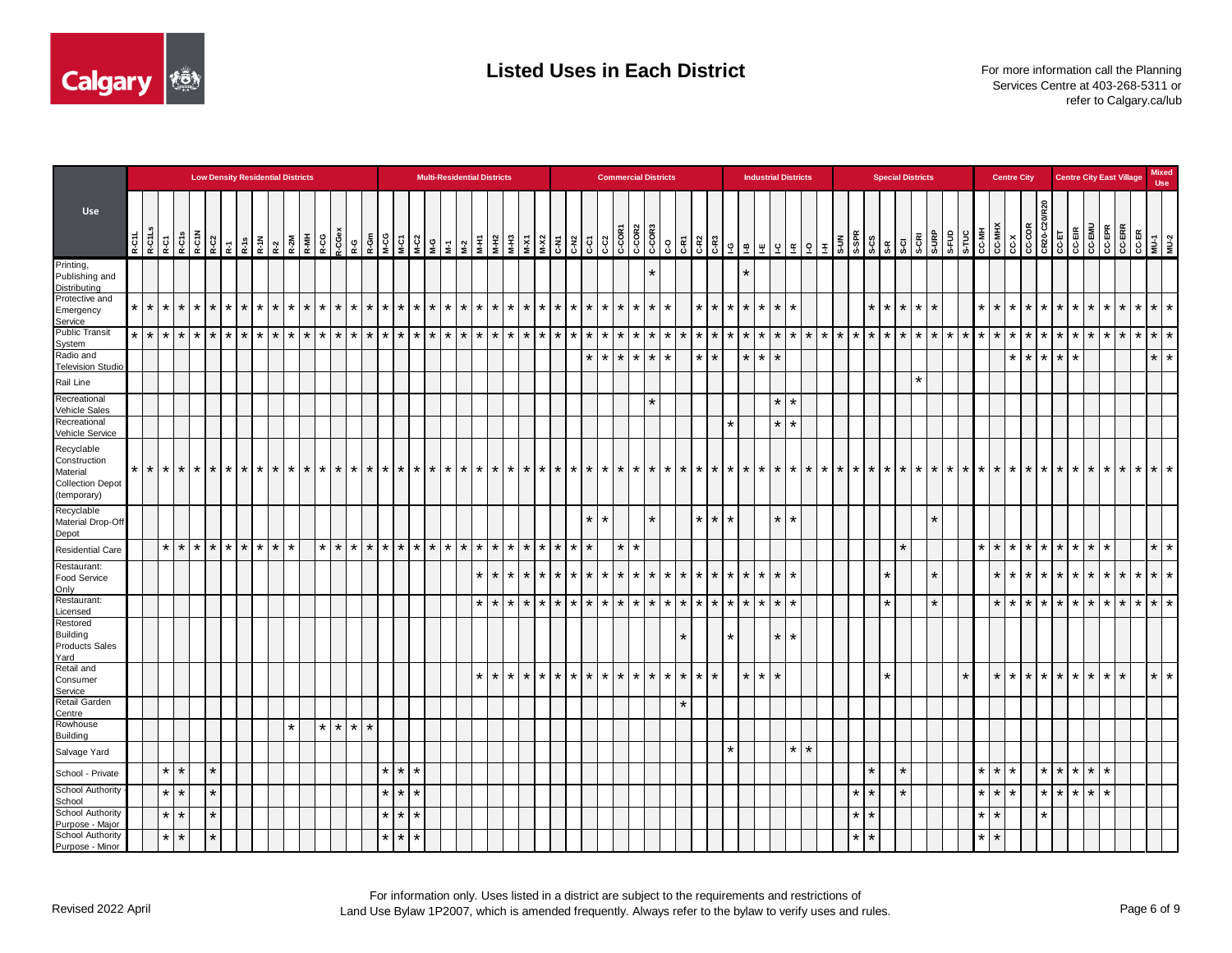

|                                                                                  |                             |         |                   | <b>Low Density Residential Districts</b>                                                                                                |         |                 |             |         |         |                                                                                                                       |         |         |                    |         |         |         |                   | <b>Multi-Residential Districts</b> |         |         |         |         |         |                   |                   |         |         |                   |         | <b>Commercial Districts</b> |         |                 |                    |                 |             |                   | <b>Industrial Districts</b> |         |         |        |                      |                    | <b>Special Districts</b> |         |         |         |           |         |         | <b>Centre City</b> |                 |                 |                                                                                                                                                                                                                                         |                     |                    | <b>Centre City East Village</b> |             | <b>Mixed</b><br><b>Use</b> |
|----------------------------------------------------------------------------------|-----------------------------|---------|-------------------|-----------------------------------------------------------------------------------------------------------------------------------------|---------|-----------------|-------------|---------|---------|-----------------------------------------------------------------------------------------------------------------------|---------|---------|--------------------|---------|---------|---------|-------------------|------------------------------------|---------|---------|---------|---------|---------|-------------------|-------------------|---------|---------|-------------------|---------|-----------------------------|---------|-----------------|--------------------|-----------------|-------------|-------------------|-----------------------------|---------|---------|--------|----------------------|--------------------|--------------------------|---------|---------|---------|-----------|---------|---------|--------------------|-----------------|-----------------|-----------------------------------------------------------------------------------------------------------------------------------------------------------------------------------------------------------------------------------------|---------------------|--------------------|---------------------------------|-------------|----------------------------|
| Use                                                                              | R-C1L <sub>S</sub><br>R-C1L |         | R-C1<br>R-C15     | $\begin{array}{c c c}\n\hline\n\text{R}-\text{C1} & \text{R}-\text{C1} \\ \hline\n\text{R}-\text{C2} & \text{R}-\text{C1}\n\end{array}$ |         |                 |             |         |         | $\begin{array}{ c c c }\n\hline\nR-1 & N\\ \hline\nR-2 & N\\ \hline\nR-2 & N\\ \hline\nR-1 & N\\ \hline\n\end{array}$ | R-CG    | R-CGex  |                    |         |         |         |                   |                                    |         |         |         |         |         |                   |                   |         |         |                   |         |                             |         |                 |                    |                 |             |                   |                             |         |         |        |                      |                    |                          | S-CRI   | S-URP   |         |           |         |         |                    |                 |                 | OMETOD<br>STARS 2007000<br>HIVE TO 2010<br>TOMETOD TO THE STARS ON THE STARS OF THE STARS OF THE STARS OF THE STARS OF THE STARS OF THE STARS OF THE STARS OF THE STARS OF THE STARS OF THE STARS OF THE STARS OF THE STARS OF THE STAR |                     | CC-EPR<br>CC-ERR   |                                 |             | CC-ER<br>MU-1<br>MU-2      |
| Printing,<br>Publishing and<br>Distributing                                      |                             |         |                   |                                                                                                                                         |         |                 |             |         |         |                                                                                                                       |         |         |                    |         |         |         |                   |                                    |         |         |         |         |         |                   |                   |         |         |                   |         |                             |         |                 |                    |                 | $\star$     |                   |                             |         |         |        |                      |                    |                          |         |         |         |           |         |         |                    |                 |                 |                                                                                                                                                                                                                                         |                     |                    |                                 |             |                            |
| Protective and<br>Emergency<br>Service                                           | $\star$                     |         | $\star$ $\star$   | $\star$                                                                                                                                 |         | $*$ $*$ $*$ $*$ |             | $\star$ | $\star$ | $\star$                                                                                                               | $\star$ | $\star$ | $\star$ $\star$    | $\star$ | $\star$ |         |                   | $*$ * * * * * *                    |         |         |         | $\star$ | $\star$ |                   | $*$ $*$ $*$       | $\star$ |         |                   |         | $*$ * * * * *               |         |                 | $\star$<br>$\star$ | $\star$         |             | $\star$ $\star$   | $\star$                     | $\star$ |         |        |                      | $\star$            | $\star$ $\star$          | $\star$ | $\star$ |         |           | $\star$ |         | $*$ * * * * *      |                 |                 | $\star$                                                                                                                                                                                                                                 | $\star$             | $\star$<br>$\star$ |                                 |             | $*$ $*$ $*$                |
| <b>Public Transit</b><br>System                                                  |                             | $*$ * * |                   | $*$ * *                                                                                                                                 |         |                 | l * l       | $\star$ | $\star$ | $\star$                                                                                                               | $\star$ | $\star$ | $\star$<br>$\star$ | $\star$ | $\star$ |         | $\star$   $\star$ | l * l                              | $\star$ | $\star$ | $\star$ | $\star$ | $\star$ | $\star$           | $\star$<br>$\ast$ | $\star$ |         | $\star$   $\star$ | l * l   | $\star$                     | $\star$ | $\star$         | $\star$<br>$\star$ | $\star$         | $\star$     | $\star$           | $\star$                     | $\star$ | $\star$ |        | $\ddot{\phantom{1}}$ | $\star$<br>$\star$ | $\star$                  | $\star$ | $\star$ | $\star$ | $*$   $*$ |         | $\star$ |                    | $\star$         | $\star$ $\star$ | $\star$                                                                                                                                                                                                                                 | $\star$             | $\star$<br>$\star$ |                                 | $*$ $*$ $*$ |                            |
| Radio and<br><b>Television Studio</b>                                            |                             |         |                   |                                                                                                                                         |         |                 |             |         |         |                                                                                                                       |         |         |                    |         |         |         |                   |                                    |         |         |         |         |         |                   |                   | $\star$ |         | $\star$ $\star$   |         | $*$ $*$                     | $\star$ |                 | $\star$<br>$\star$ |                 | $\star$     | $\star$           | $\star$                     |         |         |        |                      |                    |                          |         |         |         |           |         |         | $\star$            | $\star$         | $*$ $*$         | ÷                                                                                                                                                                                                                                       |                     |                    |                                 | $\star$     | $\star$                    |
| Rail Line                                                                        |                             |         |                   |                                                                                                                                         |         |                 |             |         |         |                                                                                                                       |         |         |                    |         |         |         |                   |                                    |         |         |         |         |         |                   |                   |         |         |                   |         |                             |         |                 |                    |                 |             |                   |                             |         |         |        |                      |                    |                          | $\star$ |         |         |           |         |         |                    |                 |                 |                                                                                                                                                                                                                                         |                     |                    |                                 |             |                            |
| Recreational<br>Vehicle Sales                                                    |                             |         |                   |                                                                                                                                         |         |                 |             |         |         |                                                                                                                       |         |         |                    |         |         |         |                   |                                    |         |         |         |         |         |                   |                   |         |         |                   |         | $\star$                     |         |                 |                    |                 |             |                   | $\star$                     | $\star$ |         |        |                      |                    |                          |         |         |         |           |         |         |                    |                 |                 |                                                                                                                                                                                                                                         |                     |                    |                                 |             |                            |
| Recreational<br>Vehicle Service                                                  |                             |         |                   |                                                                                                                                         |         |                 |             |         |         |                                                                                                                       |         |         |                    |         |         |         |                   |                                    |         |         |         |         |         |                   |                   |         |         |                   |         |                             |         |                 |                    | $\star$         |             |                   | $\star$                     | $\star$ |         |        |                      |                    |                          |         |         |         |           |         |         |                    |                 |                 |                                                                                                                                                                                                                                         |                     |                    |                                 |             |                            |
| Recyclable<br>Construction<br>Material<br><b>Collection Depot</b><br>(temporary) | $\star$<br>$\star$          | $\star$ | $\star$           | $\star$                                                                                                                                 | $\star$ | ! ∗             | $*$ $*$     | $\star$ | $\star$ | $\star$                                                                                                               | $\star$ | $\star$ | $\star$<br>$\star$ | *       | $\star$ | $\star$ |                   | $*$   $*$   $*$                    |         | $\star$ | $\star$ | $\star$ | $\star$ | $\ast$<br>$\star$ | $\ast$            | $\star$ | $\star$ |                   |         | $*$   $*$   $*$             | $\star$ | $\star$         | $\star$<br>$\star$ | $\star$         | $\star$     | $\star$           | $\star$                     | $\star$ | $\star$ | $* I*$ | $\star$              | $\star$<br>$\star$ | $\star$                  | $\star$ | $\star$ | $\star$ | $\star$   | $\star$ | $\star$ | $*$ $*$ $*$ $*$    |                 |                 | $\star$                                                                                                                                                                                                                                 | $\star$             | $\star$<br>$\star$ |                                 | $*$   $*$   | $\star$                    |
| Recyclable<br>Material Drop-Off<br>Depot                                         |                             |         |                   |                                                                                                                                         |         |                 |             |         |         |                                                                                                                       |         |         |                    |         |         |         |                   |                                    |         |         |         |         |         |                   |                   | $\star$ | $\star$ |                   |         |                             |         |                 | $\star$ $\star$    | $\star$         |             |                   | $\star$                     | $\star$ |         |        |                      |                    |                          |         | $\star$ |         |           |         |         |                    |                 |                 |                                                                                                                                                                                                                                         |                     |                    |                                 |             |                            |
| <b>Residential Care</b>                                                          |                             |         | $\star$ $\star$   | $*$ $*$ $*$                                                                                                                             |         |                 | $*$ $*$ $*$ |         | $\star$ |                                                                                                                       | $\star$ | $\star$ | $*$ $*$ $*$ $*$    |         |         |         |                   | $*$ * * * * * *                    |         |         |         | $\star$ | $\star$ |                   | $*$ $*$ $*$       | $\star$ |         | $\star$           | $\star$ |                             |         |                 |                    |                 |             |                   |                             |         |         |        |                      |                    | $\star$                  |         |         |         |           | $\star$ | $\star$ |                    |                 |                 | $*$ $*$ $*$ $*$ $*$ $*$                                                                                                                                                                                                                 | $\star$             |                    |                                 |             | $\star$ $\star$            |
| Restaurant:<br>Food Service                                                      |                             |         |                   |                                                                                                                                         |         |                 |             |         |         |                                                                                                                       |         |         |                    |         |         |         |                   |                                    |         | $\star$ | $\star$ | $\star$ | $\ast$  | $\star$   $\star$ | $\star$           | $\star$ |         |                   |         |                             |         | * * * * * * * * |                    | $\star$ $\star$ | $\star$     | $\star$           | $\star$                     | $\star$ |         |        |                      | *                  |                          |         | $\star$ |         |           |         | $\star$ | $\star$            |                 |                 | $*$ * * * * *                                                                                                                                                                                                                           |                     | $\star$<br>$\star$ |                                 |             | $*$ $*$ $*$                |
| Only<br>Restaurant:<br>Licensed                                                  |                             |         |                   |                                                                                                                                         |         |                 |             |         |         |                                                                                                                       |         |         |                    |         |         |         |                   |                                    |         | $*$ $*$ |         | $\star$ | $\star$ |                   |                   |         |         |                   |         | * * * * * * * * * * * * *   |         | $*$ $*$ $*$     |                    |                 | $*$ $*$ $*$ |                   | $\star$                     | $\star$ |         |        |                      | $\star$            |                          |         | $\star$ |         |           |         | $\star$ |                    |                 |                 | $* * * * * *$                                                                                                                                                                                                                           |                     | $\star$<br>$\star$ |                                 |             | $*$ $*$ $*$                |
| Restored<br><b>Building</b><br><b>Products Sales</b><br>Yard                     |                             |         |                   |                                                                                                                                         |         |                 |             |         |         |                                                                                                                       |         |         |                    |         |         |         |                   |                                    |         |         |         |         |         |                   |                   |         |         |                   |         |                             |         | $\star$         |                    | $\star$         |             |                   | $\star$                     | $\star$ |         |        |                      |                    |                          |         |         |         |           |         |         |                    |                 |                 |                                                                                                                                                                                                                                         |                     |                    |                                 |             |                            |
| Retail and<br>Consumer<br>Service                                                |                             |         |                   |                                                                                                                                         |         |                 |             |         |         |                                                                                                                       |         |         |                    |         |         |         |                   |                                    |         | $\star$ | $\star$ | $\star$ | $\star$ | $*$ $*$           | $\star$           | $\star$ |         |                   |         | $*$ $*$ $*$ $*$ $*$ $*$     |         | $\star$ $\star$ | $\star$            |                 |             | $\star$   $\star$ | $\star$                     |         |         |        |                      | $\star$            |                          |         |         |         |           |         | $\star$ |                    | $*$ $*$ $*$ $*$ |                 | $\star$ $\star$                                                                                                                                                                                                                         |                     | $\star$<br>$\star$ |                                 |             | $*$ $*$                    |
| Retail Garden<br>Centre                                                          |                             |         |                   |                                                                                                                                         |         |                 |             |         |         |                                                                                                                       |         |         |                    |         |         |         |                   |                                    |         |         |         |         |         |                   |                   |         |         |                   |         |                             |         | $\star$         |                    |                 |             |                   |                             |         |         |        |                      |                    |                          |         |         |         |           |         |         |                    |                 |                 |                                                                                                                                                                                                                                         |                     |                    |                                 |             |                            |
| Rowhouse                                                                         |                             |         |                   |                                                                                                                                         |         |                 |             |         | $\star$ |                                                                                                                       | $\star$ | $\star$ | $\star$ $\star$    |         |         |         |                   |                                    |         |         |         |         |         |                   |                   |         |         |                   |         |                             |         |                 |                    |                 |             |                   |                             |         |         |        |                      |                    |                          |         |         |         |           |         |         |                    |                 |                 |                                                                                                                                                                                                                                         |                     |                    |                                 |             |                            |
| <b>Building</b><br>Salvage Yard                                                  |                             |         |                   |                                                                                                                                         |         |                 |             |         |         |                                                                                                                       |         |         |                    |         |         |         |                   |                                    |         |         |         |         |         |                   |                   |         |         |                   |         |                             |         |                 |                    | $\star$         |             |                   |                             | $*$ $*$ |         |        |                      |                    |                          |         |         |         |           |         |         |                    |                 |                 |                                                                                                                                                                                                                                         |                     |                    |                                 |             |                            |
| School - Private                                                                 |                             | $\star$ | $\star$           |                                                                                                                                         | $\star$ |                 |             |         |         |                                                                                                                       |         |         |                    | $\star$ | $\star$ | $\star$ |                   |                                    |         |         |         |         |         |                   |                   |         |         |                   |         |                             |         |                 |                    |                 |             |                   |                             |         |         |        | $\star$              |                    | $\star$                  |         |         |         |           | $\star$ | $\star$ |                    |                 |                 |                                                                                                                                                                                                                                         | $*$ $*$ $*$ $*$ $*$ |                    |                                 |             |                            |
| <b>School Authority</b>                                                          |                             | $\star$ | $\star$           |                                                                                                                                         | $\star$ |                 |             |         |         |                                                                                                                       |         |         |                    | $\star$ | $\star$ | $\star$ |                   |                                    |         |         |         |         |         |                   |                   |         |         |                   |         |                             |         |                 |                    |                 |             |                   |                             |         |         |        | مقه                  |                    | $\star$                  |         |         |         |           | $\star$ | $\star$ |                    |                 | $\star$ $\star$ | $\star$                                                                                                                                                                                                                                 | $\star$             | $\star$            |                                 |             |                            |
| School<br>School Authority                                                       |                             |         | $*$ $*$           |                                                                                                                                         | $\star$ |                 |             |         |         |                                                                                                                       |         |         |                    | $\star$ | $\star$ | $\star$ |                   |                                    |         |         |         |         |         |                   |                   |         |         |                   |         |                             |         |                 |                    |                 |             |                   |                             |         |         |        | $\star$<br>$\star$   |                    |                          |         |         |         |           | $\star$ | $\star$ |                    |                 | $\star$         |                                                                                                                                                                                                                                         |                     |                    |                                 |             |                            |
| Purpose - Major<br><b>School Authority</b><br>Purpose - Minor                    |                             |         | $\star$   $\star$ |                                                                                                                                         | $\star$ |                 |             |         |         |                                                                                                                       |         |         |                    | $\star$ | $\star$ | $\star$ |                   |                                    |         |         |         |         |         |                   |                   |         |         |                   |         |                             |         |                 |                    |                 |             |                   |                             |         |         |        | $\star$<br>$\star$   |                    |                          |         |         |         |           | $\star$ | $\star$ |                    |                 |                 |                                                                                                                                                                                                                                         |                     |                    |                                 |             |                            |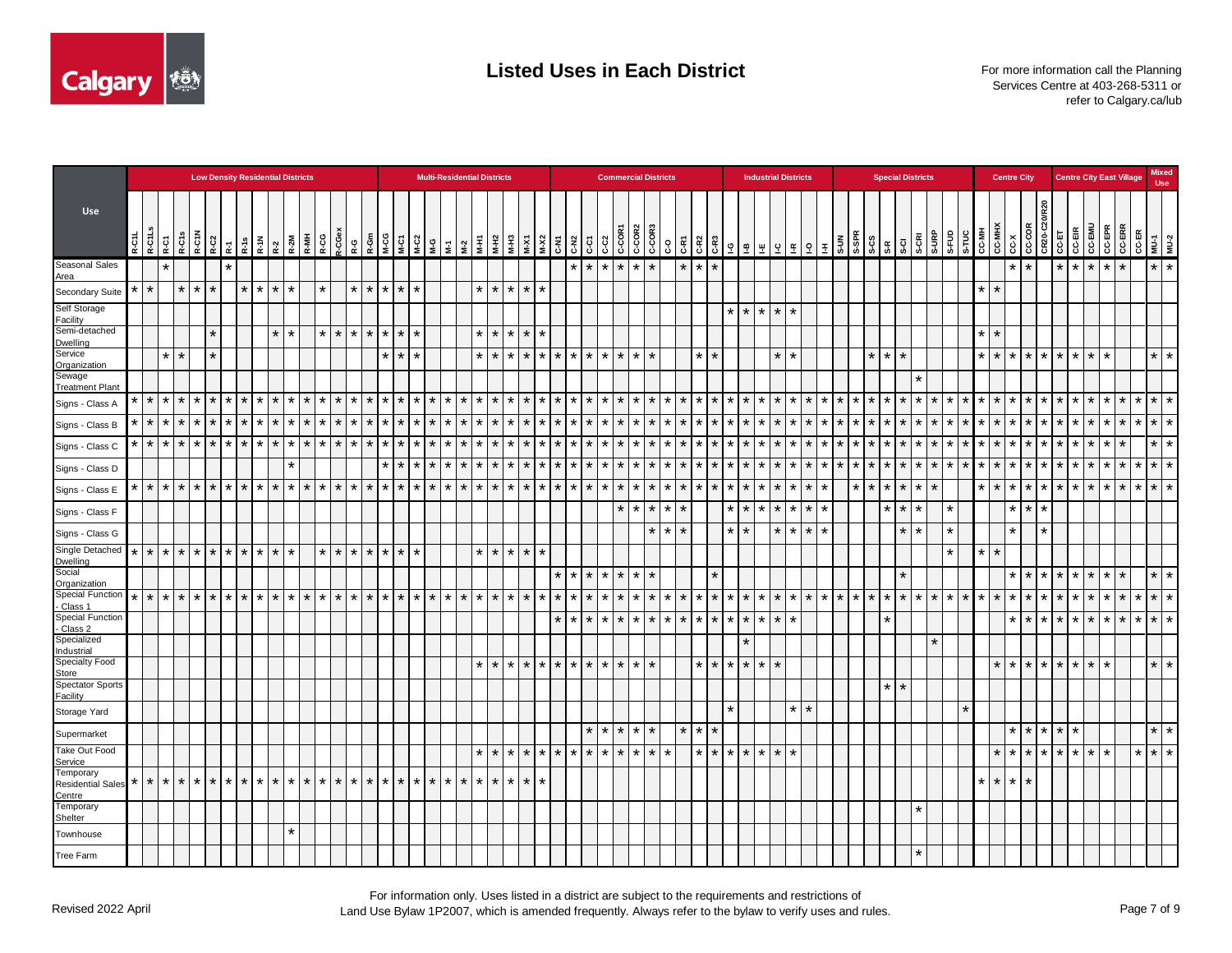

|                                                 |                                                                                                                                                                                                                                                                                                                                                                                                                                  |                    |                   |         |                   | <b>Low Density Residential Districts</b> |         |         |         |                    |         |                   |         |         |                   |                 |                             |         | <b>Multi-Residential Districts</b> |         |         |         |                    |          |         |                   |                 | <b>Commercial Districts</b> |         |                    |                 |         |                            |         | <b>Industrial Districts</b> |         |                        |         |                      |                  |                    | <b>Special Districts</b> |         |         |         |         |                                     | <b>Centre City</b> |                         |                                                                                                                                                    |                 |                         | <b>Centre City East Village</b> |                 | <b>Mixed</b><br><b>Use</b> |         |
|-------------------------------------------------|----------------------------------------------------------------------------------------------------------------------------------------------------------------------------------------------------------------------------------------------------------------------------------------------------------------------------------------------------------------------------------------------------------------------------------|--------------------|-------------------|---------|-------------------|------------------------------------------|---------|---------|---------|--------------------|---------|-------------------|---------|---------|-------------------|-----------------|-----------------------------|---------|------------------------------------|---------|---------|---------|--------------------|----------|---------|-------------------|-----------------|-----------------------------|---------|--------------------|-----------------|---------|----------------------------|---------|-----------------------------|---------|------------------------|---------|----------------------|------------------|--------------------|--------------------------|---------|---------|---------|---------|-------------------------------------|--------------------|-------------------------|----------------------------------------------------------------------------------------------------------------------------------------------------|-----------------|-------------------------|---------------------------------|-----------------|----------------------------|---------|
| Use                                             | $\begin{array}{ c c }\n\hline\n\text{R}-\text{C} & \text{C} & \text{C} \\ \hline\n\text{R}-\text{C} & \text{C} & \text{C} \\ \hline\n\text{R}-\text{C} & \text{C} & \text{C} \\ \hline\n\text{R}-\text{C} & \text{C} & \text{C} \\ \hline\n\text{R}-\text{C} & \text{C} & \text{C} \\ \hline\n\text{R}-\text{C} & \text{C} & \text{C} \\ \hline\n\text{R}-\text{C} & \text{C} & \text{C} \\ \hline\n\text{R}-\text{C} & \text{C$ |                    |                   | R-C1N   | $R-C2$            | $R-18$ $R-2$ $R-2M$ $R-MH$ $R-MH$        |         |         |         | R-CGe<br>R-CG      | Ŗ-G     | R-Gm              | M-CG    | M-C1    |                   |                 |                             |         |                                    |         | $M-X1$  | $M-X2$  | <b>C-N2</b>        | $\rm _G$ | င္း     | C-COR1            | $C-COR2$        |                             | ၟ       | $C-R2$<br>C-R1     |                 | $C-R3$  | $\underline{\mathfrak{m}}$ | 里       | $\overline{5}$<br>l o       |         | $9 \nvert \frac{1}{2}$ | S-UN    |                      | န္ကား<br>အိတ္လို | $S-CI$             | S-CRI                    | S-URP   | S-FUD   | S-TUC   | CC-MH   | <b>CC-MHX</b><br>ιčχ                | CC-COR             |                         | $\begin{array}{c c}\n\hline\n\text{CRA} & \text{C-A} \\ \hline\n\text{C-A} & \text{C-A} \\ \hline\n\text{C-A} & \text{C-A} \\ \hline\n\end{array}$ |                 | <b>CC-EMU</b><br>CC-EPR | <b>CC-ERR</b>                   |                 | CC-ER<br>MU-1<br>MU-2      |         |
| Seasonal Sales<br>Area                          |                                                                                                                                                                                                                                                                                                                                                                                                                                  | $\star$            |                   |         | $\star$           |                                          |         |         |         |                    |         |                   |         |         |                   |                 |                             |         |                                    |         |         |         | $\star$            | $\star$  |         | $*$ $*$ $*$ $*$   |                 |                             |         | $\star$<br>$\star$ | $\star$         |         |                            |         |                             |         |                        |         |                      |                  |                    |                          |         |         |         |         |                                     |                    |                         | $\star$                                                                                                                                            | $\star$         | $\star$<br>$\star$      | $\star$                         |                 | $*$                        |         |
| Secondary Suite                                 | $\ast$                                                                                                                                                                                                                                                                                                                                                                                                                           | $\ast$             | $\star$           | $\ast$  | $\star$           | $\star$                                  | $\star$ | $\star$ |         | $\star$            | $\star$ | $\star$           | $\star$ | $\star$ | $\star$           |                 |                             |         | $\star$ $\star$                    | $\star$ | $\star$ | $\star$ |                    |          |         |                   |                 |                             |         |                    |                 |         |                            |         |                             |         |                        |         |                      |                  |                    |                          |         |         |         | $\star$ | $\star$                             |                    |                         |                                                                                                                                                    |                 |                         |                                 |                 |                            |         |
| Self Storage<br>Facility                        |                                                                                                                                                                                                                                                                                                                                                                                                                                  |                    |                   |         |                   |                                          |         |         |         |                    |         |                   |         |         |                   |                 |                             |         |                                    |         |         |         |                    |          |         |                   |                 |                             |         |                    |                 |         | $*$ $*$ $*$                |         | $\star$<br>$\star$          |         |                        |         |                      |                  |                    |                          |         |         |         |         |                                     |                    |                         |                                                                                                                                                    |                 |                         |                                 |                 |                            |         |
| Semi-detached<br>Dwelling                       |                                                                                                                                                                                                                                                                                                                                                                                                                                  |                    |                   |         | $\star$           |                                          | $\star$ | $\star$ |         | $\star$<br>$\star$ |         | $\star$ $\star$   | $\star$ | $\star$ | $\star$           |                 |                             |         | $\star$ $\star$                    | $\star$ | $\star$ | $\star$ |                    |          |         |                   |                 |                             |         |                    |                 |         |                            |         |                             |         |                        |         |                      |                  |                    |                          |         |         |         | $\star$ | $\star$                             |                    |                         |                                                                                                                                                    |                 |                         |                                 |                 |                            |         |
| Service<br>Organization                         |                                                                                                                                                                                                                                                                                                                                                                                                                                  |                    | $\star$ $\star$   |         | $\star$           |                                          |         |         |         |                    |         |                   | $\star$ | $\star$ | $\star$           |                 |                             |         | $*$ $*$                            | $\star$ | $\star$ | $\star$ | $*$ $*$ $*$        |          |         | $*$ $*$ $*$ $*$   |                 |                             |         |                    | $\star$ $\star$ |         |                            |         | $\star$<br>$\star$          |         |                        |         |                      | $*$ $*$ $*$      |                    |                          |         |         |         | $\star$ | $\star$<br>$\overline{\phantom{a}}$ |                    | $*$ $*$ $*$             |                                                                                                                                                    | $\star$         | $\star$<br>$\star$      |                                 |                 | $\star$   $\star$          |         |
| Sewage<br><b>Treatment Plant</b>                |                                                                                                                                                                                                                                                                                                                                                                                                                                  |                    |                   |         |                   |                                          |         |         |         |                    |         |                   |         |         |                   |                 |                             |         |                                    |         |         |         |                    |          |         |                   |                 |                             |         |                    |                 |         |                            |         |                             |         |                        |         |                      |                  |                    |                          |         |         |         |         |                                     |                    |                         |                                                                                                                                                    |                 |                         |                                 |                 |                            |         |
| Signs - Class A                                 |                                                                                                                                                                                                                                                                                                                                                                                                                                  | $\star$            | $\star$   $\star$ | $\star$ | $\star$   $\star$ | $\star$                                  |         | $\star$ | $\star$ | $\star$<br>$\star$ | $\star$ | $\star$           | $\star$ | $\star$ | $\star$   $\star$ | $\vert * \vert$ | $\star$                     | $\star$ | $\star$                            | $\star$ |         | $\star$ | $\star$<br>$\ast$  | $\star$  |         | $\star$   $\star$ | l * l           | $\star$                     | $\star$ | $\star$<br>$\star$ | $\star$         | $\star$ | $\star$                    | $\star$ | $\star$<br>$\star$          | $\star$ | $\star$                | $\star$ | $\star$              | $\star$          | $\star$<br>$\star$ | $\star$                  | $\star$ | $\star$ | $\star$ | $\star$ | $\star$                             | $\star$            |                         | $*$ $*$                                                                                                                                            | $\star$         | $\star$                 | $\star$<br>$\star$              |                 | $*$ $*$ $*$                |         |
| Signs - Class B                                 | $\star$                                                                                                                                                                                                                                                                                                                                                                                                                          | $*$ * *            |                   | $\star$ | $\star$   $\star$ | $\star$                                  |         | $\star$ | $\star$ | $\star$<br>$\star$ | $\star$ | $\star$           | $\star$ | $\star$ | $\star$           |                 | $\star$ $\vdash$<br>$\star$ | $\star$ | $\star$                            | $\star$ |         | $\star$ | $\star$<br>$\ast$  | $\star$  | $\star$ |                   | $\star$ $\star$ |                             |         | $\star$<br>$\star$ |                 | $\star$ | $\star$                    | $\star$ | $\star$<br>$\star$          | $\star$ |                        | $\star$ | $\star$              | $\star$          | $\star$<br>$\star$ | $\star$                  | $\star$ | $\star$ | $\star$ | $\star$ | $\star$                             |                    | $*$ $*$ $*$             |                                                                                                                                                    | $\star$         | $\star$                 | $\star$<br>$\star$              |                 | $*$ $*$ $*$                |         |
| Signs - Class C                                 | $\ast$                                                                                                                                                                                                                                                                                                                                                                                                                           | $\star$            | $\star$ $\star$   | $\star$ | $\star$<br>  ∗    | $\star$                                  |         | $\star$ | $\star$ | $\star$<br>$\star$ | $\star$ | $\star$           | $\ast$  | $\star$ | $\star$           | $\star$         | $\star$                     |         | $\star$                            | $\star$ |         | $\star$ | $\star$<br>$\ast$  | $\star$  | $\star$ |                   | $\star$         |                             |         | $\star$<br>$\star$ | $\star$         | $\star$ | $\star$                    | $\star$ | $\star$<br>$\star$          | $\star$ |                        |         |                      |                  | $\star$<br>$\star$ | $\star$                  | $\ast$  | $\star$ |         | $\star$ | $\star$                             | $\star$            | $\star$                 |                                                                                                                                                    | $\star$ 1       | $\star$<br>$\star$      | $\star$                         |                 | $\star$                    | $\star$ |
| Signs - Class D                                 |                                                                                                                                                                                                                                                                                                                                                                                                                                  |                    |                   |         |                   |                                          |         |         |         |                    |         |                   |         | $\star$ | $\star$           |                 | $\star$                     |         | ¥.                                 | $\star$ |         | $\star$ | $\star$<br>$\star$ | $\star$  | $\star$ | <b>+</b>          |                 | $\star$                     |         | $\star$<br>$\star$ | $\star$         | $\star$ | $\star$                    | $\star$ | $\ast$                      | $\star$ |                        |         |                      |                  | $\star$<br>$\star$ | $\star$                  | $\star$ | $\star$ |         | $\star$ | $\star$                             |                    | $\star$ 1               |                                                                                                                                                    | ÷               | $\star$<br>$\star$      | $\star$                         | $\star$         | $\star$                    | $\star$ |
| Signs - Class E                                 | $\star$                                                                                                                                                                                                                                                                                                                                                                                                                          | $*$ $*$ $*$        |                   | $*$ * * |                   | $\mathbf{r}$                             |         |         | $\star$ | $\star$<br>$\star$ | $\star$ | $\mathbf{r}$      | $\star$ | $\star$ | $\vert * \vert$   |                 | l * l<br>$\star$            | $\star$ | $\star$                            | $\star$ | $\star$ | $\star$ | $\star$<br>$\star$ | $\star$  |         | $\star$   $\star$ | $\star$ $\star$ |                             | $\star$ | $\star$<br>$\star$ | $\star$         | $\star$ | $\star$                    | $\star$ | $\star$<br>$\star$          | $\star$ |                        |         | $\star$              | $\star$          | $\star$<br>$\star$ | $\star$                  | $\star$ |         |         | $\star$ | $\star$                             | $\vert * \vert$    |                         | $*$ $*$                                                                                                                                            | $\star$         | $\star$<br>$\star$      | $\star$                         | $\star$ $\star$ |                            | $\star$ |
| Signs - Class F                                 |                                                                                                                                                                                                                                                                                                                                                                                                                                  |                    |                   |         |                   |                                          |         |         |         |                    |         |                   |         |         |                   |                 |                             |         |                                    |         |         |         |                    |          |         |                   |                 | $\star$                     | $\star$ |                    |                 | ¥       | $\star$                    | $\star$ | $\star$<br>$\star$          | $\star$ |                        |         |                      |                  | $\star$<br>$\star$ |                          |         | $\star$ |         |         |                                     | $\star$            | $\star$                 |                                                                                                                                                    |                 |                         |                                 |                 |                            |         |
| Signs - Class G                                 |                                                                                                                                                                                                                                                                                                                                                                                                                                  |                    |                   |         |                   |                                          |         |         |         |                    |         |                   |         |         |                   |                 |                             |         |                                    |         |         |         |                    |          |         |                   |                 | $\star$                     | $\star$ | $\ast$             |                 | $\star$ | $\star$                    |         | $\star$<br>$\star$          | $\star$ |                        |         |                      |                  | $\star$            | $\star$                  |         | $\star$ |         |         | $\star$                             |                    | $\star$                 |                                                                                                                                                    |                 |                         |                                 |                 |                            |         |
| Single Detached<br>Dwelling                     | $\star$                                                                                                                                                                                                                                                                                                                                                                                                                          | $\star$            | $*$   $*$         |         |                   | * * * * * * * * *                        |         |         |         | $\star$ $\star$    |         | $\star$   $\star$ | $\star$ | $\star$ | $\star$           |                 |                             |         | $*$ $*$ $*$                        |         | $\star$ | $\star$ |                    |          |         |                   |                 |                             |         |                    |                 |         |                            |         |                             |         |                        |         |                      |                  |                    |                          |         | $\star$ |         | $\star$ | $\star$                             |                    |                         |                                                                                                                                                    |                 |                         |                                 |                 |                            |         |
| Social<br>Organization                          |                                                                                                                                                                                                                                                                                                                                                                                                                                  |                    |                   |         |                   |                                          |         |         |         |                    |         |                   |         |         |                   |                 |                             |         |                                    |         |         |         | $\star$<br>$\ast$  | $\star$  | $\star$ |                   |                 |                             |         |                    |                 |         |                            |         |                             |         |                        |         |                      |                  |                    |                          |         |         |         |         |                                     |                    |                         | $*$ $*$                                                                                                                                            |                 | $\star$                 | $\star$                         |                 |                            | $\star$ |
| Special Function<br>Class 1                     | $\star$                                                                                                                                                                                                                                                                                                                                                                                                                          | $\star$            | $\star$   $\star$ | $\star$ | $\star$ $\star$   | $\star$                                  | $\star$ | $\star$ | $\star$ | $\star$<br>$\star$ | $\star$ | $\star$           | $\star$ | $\star$ |                   | $*$ $*$ $*$     | $\star$                     | $\star$ | $\star$                            | $\star$ |         | $\star$ | $\star$<br>$\ast$  | $\star$  | $\star$ |                   |                 |                             |         | $\star$<br>$\star$ | $\star$         | $\star$ | $\star$                    | $\star$ | $\star$<br>$\star$          |         | $*$ $*$ $*$            |         | $\ddot{\phantom{1}}$ | $\star$          | $\star$<br>$\star$ | $\star$                  | $\star$ | $\star$ | $\star$ | $\star$ | $\star$                             | $\star$            |                         | $+1+$                                                                                                                                              | $\star$         | $\star$                 | $\star$<br>$\star$              | $\star$         | $\star$                    | $\star$ |
| <b>Special Function</b><br>Class 2              |                                                                                                                                                                                                                                                                                                                                                                                                                                  |                    |                   |         |                   |                                          |         |         |         |                    |         |                   |         |         |                   |                 |                             |         |                                    |         |         |         | $\star$<br>$\star$ | $\star$  |         | $\star$   $\star$ | $\star$ $\star$ |                             | $\star$ | $\star$<br>$\star$ | $\star$         | $\star$ | $\star$                    | $\star$ | $\star$<br>$\star$          |         |                        |         |                      |                  | $\star$            |                          |         |         |         |         | ÷                                   |                    | $\star$ $\star$ $\star$ |                                                                                                                                                    | $\star$         | $\star$                 | $\star$<br>$\star$              | $\star$         | $\star$                    | $\star$ |
| Specialized<br>Industrial                       |                                                                                                                                                                                                                                                                                                                                                                                                                                  |                    |                   |         |                   |                                          |         |         |         |                    |         |                   |         |         |                   |                 |                             |         |                                    |         |         |         |                    |          |         |                   |                 |                             |         |                    |                 |         | $\star$                    |         |                             |         |                        |         |                      |                  |                    |                          | $\star$ |         |         |         |                                     |                    |                         |                                                                                                                                                    |                 |                         |                                 |                 |                            |         |
| Specialty Food<br>Store                         |                                                                                                                                                                                                                                                                                                                                                                                                                                  |                    |                   |         |                   |                                          |         |         |         |                    |         |                   |         |         |                   |                 |                             |         | $*$ $*$                            | $\star$ | $\star$ |         | $*$ $*$ $*$        | $\star$  |         | $*$ * * *         |                 |                             |         |                    | $\star$ $\star$ | $\star$ | $\star$   $\star$          |         | $\star$                     |         |                        |         |                      |                  |                    |                          |         |         |         |         | $\star$                             | $*$ $*$ $*$ $*$    |                         |                                                                                                                                                    | $\star$ $\star$ | $\ast$                  |                                 |                 | $\star$                    | $\star$ |
| <b>Spectator Sports</b><br>Facility             |                                                                                                                                                                                                                                                                                                                                                                                                                                  |                    |                   |         |                   |                                          |         |         |         |                    |         |                   |         |         |                   |                 |                             |         |                                    |         |         |         |                    |          |         |                   |                 |                             |         |                    |                 |         |                            |         |                             |         |                        |         |                      |                  | $\star$   $\star$  |                          |         |         |         |         |                                     |                    |                         |                                                                                                                                                    |                 |                         |                                 |                 |                            |         |
| Storage Yard                                    |                                                                                                                                                                                                                                                                                                                                                                                                                                  |                    |                   |         |                   |                                          |         |         |         |                    |         |                   |         |         |                   |                 |                             |         |                                    |         |         |         |                    |          |         |                   |                 |                             |         |                    |                 | $\star$ |                            |         | $\star$                     | $\star$ |                        |         |                      |                  |                    |                          |         |         | $\star$ |         |                                     |                    |                         |                                                                                                                                                    |                 |                         |                                 |                 |                            |         |
| Supermarket                                     |                                                                                                                                                                                                                                                                                                                                                                                                                                  |                    |                   |         |                   |                                          |         |         |         |                    |         |                   |         |         |                   |                 |                             |         |                                    |         |         |         |                    | $\star$  |         | $\star$   $\star$ | l * l           | $\star$                     |         | $\star$ $\star$    | $\star$         |         |                            |         |                             |         |                        |         |                      |                  |                    |                          |         |         |         |         | $\star$                             |                    | $*$ $*$ $*$             |                                                                                                                                                    | $\star$         |                         |                                 |                 | $\star$ $\star$            |         |
| Take Out Food<br>Service                        |                                                                                                                                                                                                                                                                                                                                                                                                                                  |                    |                   |         |                   |                                          |         |         |         |                    |         |                   |         |         |                   |                 |                             |         | $\star$                            | $\star$ |         | $\star$ | $\star$<br>$\star$ | $\star$  |         | $\star$   $\star$ | $\star$         | $\star$                     |         | $\star$            | $\star$         | $\star$ | $\star$   $\star$          |         | $\star$<br>$\star$          |         |                        |         |                      |                  |                    |                          |         |         |         |         | $\star$                             | $\star$            |                         | $*$ $*$                                                                                                                                            | $\star$         | $\star$                 |                                 |                 | $*$ $*$ $*$                |         |
| Temporary<br><b>Residential Sales</b><br>Centre |                                                                                                                                                                                                                                                                                                                                                                                                                                  | $\star$<br>$\star$ | $\star$           | $\star$ | $\star$           |                                          |         |         | $\star$ | $\star$<br>$\star$ | $\star$ | $\star$           |         | $\star$ | $\star$           |                 |                             | $\star$ | $\star$                            | $\star$ | $\star$ | $\star$ |                    |          |         |                   |                 |                             |         |                    |                 |         |                            |         |                             |         |                        |         |                      |                  |                    |                          |         |         |         | $\star$ | $\star$<br>$\star$                  | $\star$            |                         |                                                                                                                                                    |                 |                         |                                 |                 |                            |         |
| Temporary<br>Shelter                            |                                                                                                                                                                                                                                                                                                                                                                                                                                  |                    |                   |         |                   |                                          |         |         |         |                    |         |                   |         |         |                   |                 |                             |         |                                    |         |         |         |                    |          |         |                   |                 |                             |         |                    |                 |         |                            |         |                             |         |                        |         |                      |                  |                    |                          |         |         |         |         |                                     |                    |                         |                                                                                                                                                    |                 |                         |                                 |                 |                            |         |
| Townhouse                                       |                                                                                                                                                                                                                                                                                                                                                                                                                                  |                    |                   |         |                   |                                          |         | $\star$ |         |                    |         |                   |         |         |                   |                 |                             |         |                                    |         |         |         |                    |          |         |                   |                 |                             |         |                    |                 |         |                            |         |                             |         |                        |         |                      |                  |                    |                          |         |         |         |         |                                     |                    |                         |                                                                                                                                                    |                 |                         |                                 |                 |                            |         |
| Tree Farm                                       |                                                                                                                                                                                                                                                                                                                                                                                                                                  |                    |                   |         |                   |                                          |         |         |         |                    |         |                   |         |         |                   |                 |                             |         |                                    |         |         |         |                    |          |         |                   |                 |                             |         |                    |                 |         |                            |         |                             |         |                        |         |                      |                  |                    |                          |         |         |         |         |                                     |                    |                         |                                                                                                                                                    |                 |                         |                                 |                 |                            |         |

For information only. Uses listed in a district are subject to the requirements and restrictions of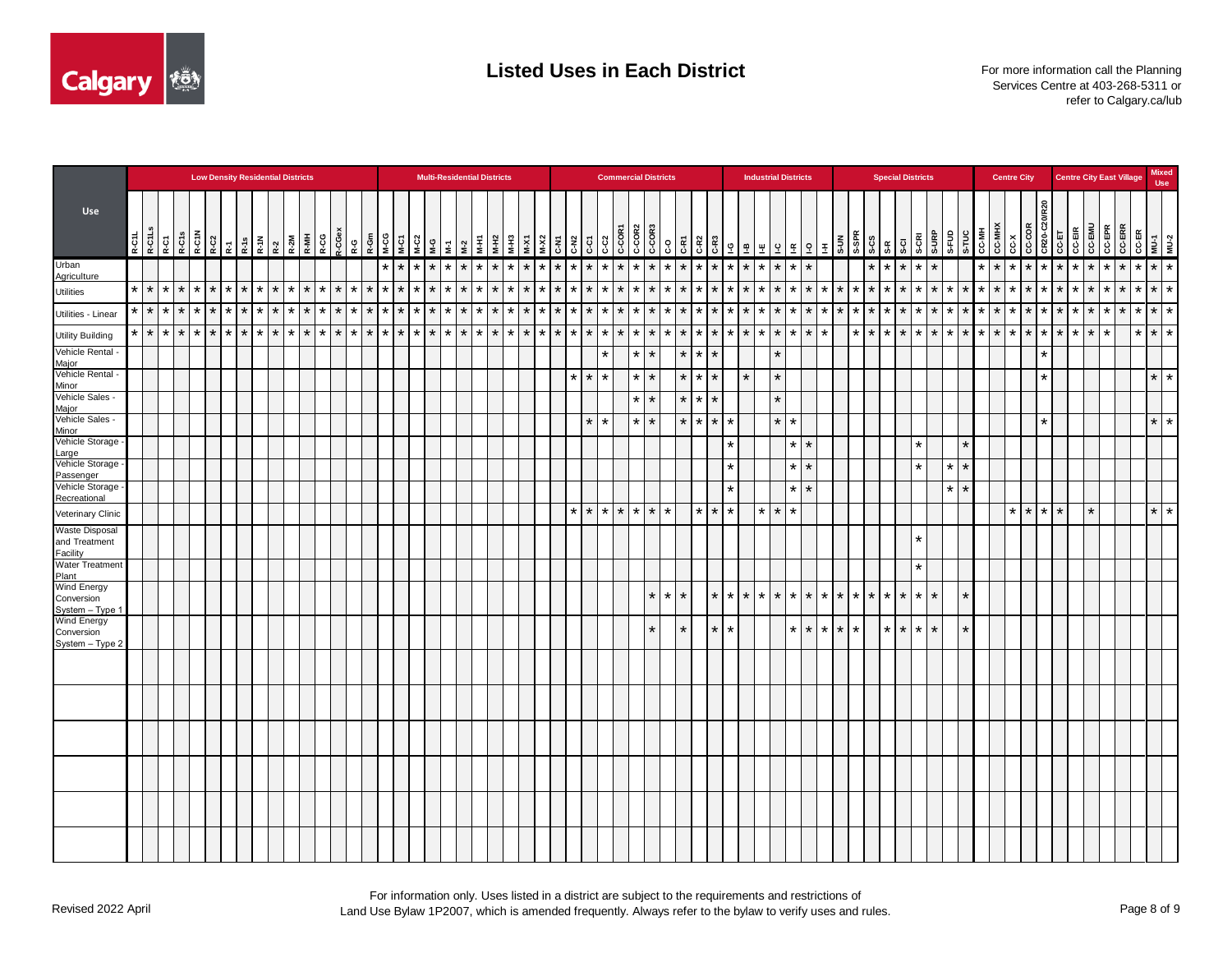

|                                        |                                                                             |                    |         |                 | <b>Low Density Residential Districts</b> |         |         |         |         |          |         |         |                 |                                |                   |              |         |                 |                                                                                                                                                |                   | <b>Multi-Residential Districts</b> |         |         |                       |         |         |         |                    |         | <b>Commercial Districts</b>                                                                                                                                                                                                                                                                                                                                                                                                                            |                   |                    |         |                    |         |         |                 |         |         |                    |         | <b>Industrial Districts</b> |             |                 |         |         | <b>Special Districts</b> |         |                       |                    |                                    |         |         | <b>Centre City</b>                                                                                                                                                                                                                                                                                                                                                                                                                                                                                                 |                   |            |             |         |               |         | <b>Centre City East Village</b> |                    | <b>Mixed</b><br><b>Use</b>                |
|----------------------------------------|-----------------------------------------------------------------------------|--------------------|---------|-----------------|------------------------------------------|---------|---------|---------|---------|----------|---------|---------|-----------------|--------------------------------|-------------------|--------------|---------|-----------------|------------------------------------------------------------------------------------------------------------------------------------------------|-------------------|------------------------------------|---------|---------|-----------------------|---------|---------|---------|--------------------|---------|--------------------------------------------------------------------------------------------------------------------------------------------------------------------------------------------------------------------------------------------------------------------------------------------------------------------------------------------------------------------------------------------------------------------------------------------------------|-------------------|--------------------|---------|--------------------|---------|---------|-----------------|---------|---------|--------------------|---------|-----------------------------|-------------|-----------------|---------|---------|--------------------------|---------|-----------------------|--------------------|------------------------------------|---------|---------|--------------------------------------------------------------------------------------------------------------------------------------------------------------------------------------------------------------------------------------------------------------------------------------------------------------------------------------------------------------------------------------------------------------------------------------------------------------------------------------------------------------------|-------------------|------------|-------------|---------|---------------|---------|---------------------------------|--------------------|-------------------------------------------|
| <b>Use</b>                             | $\begin{array}{c c}\n & P-CL \\  & P-CL \\  & P-CL \\  & P-CL\n\end{array}$ |                    |         |                 |                                          |         |         |         |         |          |         |         | $rac{6}{R-C$    | $\mathsf{R}\text{-}\mathsf{G}$ |                   |              |         |                 | $\begin{array}{ c c c c c c c c } \hline c & c & c & c & c & c \\ \hline c & c & c & c & c & c \\ s & s & s & s & s & s \\ \hline \end{array}$ |                   |                                    | М-Н1    | $M-H2$  | <b>EH-W</b><br>$M-X1$ |         | $M-X2$  |         | C-N2<br>G-51       |         | $\begin{array}{ c c c c c }\hline & \text{se} & \text{se} & \text{se} & \text{se} & \text{se} & \text{se} & \text{se} & \text{se} & \text{se} & \text{se} & \text{se} & \text{se} & \text{se} & \text{se} & \text{se} & \text{se} & \text{se} & \text{se} & \text{se} & \text{se} & \text{se} & \text{se} & \text{se} & \text{se} & \text{se} & \text{se} & \text{se} & \text{se} & \text{se} & \text{se} & \text{se} & \text{se} & \text{se} & \text$ |                   |                    |         | G-RT               |         |         |                 |         |         |                    |         |                             |             |                 |         |         |                          | $S-CI$  | <b>S-URP</b><br>S-CRI |                    | <b>B</b><br>S-FUC<br>S-TUE<br>C-MH |         |         | $\begin{array}{c c}\n\hline\n\text{C-MH} \times \text{C} \times \text{C} \times \text{C} \times \text{C} \times \text{C} \times \text{C} \times \text{C} \times \text{C} \times \text{C} \times \text{C} \times \text{C} \times \text{C} \times \text{C} \times \text{C} \times \text{C} \times \text{C} \times \text{C} \times \text{C} \times \text{C} \times \text{C} \times \text{C} \times \text{C} \times \text{C} \times \text{C} \times \text{C} \times \text{C} \times \text{C} \times \text{C} \times \$ |                   | <b>R20</b> |             |         | <b>CC-EMU</b> | CC-EPR  |                                 |                    | MU-1<br>CC-ER<br>CC-ER<br>CC-ER<br>CC-ERR |
| Urban                                  |                                                                             |                    |         |                 |                                          |         |         |         |         |          |         |         |                 |                                |                   | $\star$      |         |                 | $*$ $*$ $*$ $*$ $*$                                                                                                                            |                   |                                    | $\star$ | $\star$ | $\star$ $\star$       |         | $\star$ | $\star$ |                    |         | $*$ $*$ $*$ $*$ $*$                                                                                                                                                                                                                                                                                                                                                                                                                                    |                   |                    | $\star$ | $\star$<br>$\star$ | $\star$ | $\star$ | $\star$         |         |         |                    |         | $*$ * * * * *               |             |                 |         | $\star$ | $\star$                  | $\star$ | $\star$               | $\star$            |                                    | $\star$ | $\star$ |                                                                                                                                                                                                                                                                                                                                                                                                                                                                                                                    | $\star$ $\star$   |            | $*$ $*$ $*$ |         | $\star$       | $\star$ | $\star$                         | $\star$            | $\star$   $\star$                         |
| <b>Agriculture</b><br><b>Utilities</b> | $\star$                                                                     | $\star$<br>$\star$ | $\star$ |                 | $*$ $*$ $*$                              |         | $\star$ | $\star$ | $\star$ | $\star$  | $\star$ | $\star$ | $\star$         | $\star$                        | $\star$ $\star$   |              |         | $*$ $*$ $*$     |                                                                                                                                                | $\star$           | $\star$                            | $\star$ | $\star$ | $\star$   $\star$     |         | $\star$ | $\star$ | $\star$<br>$\star$ |         | $*$ $*$                                                                                                                                                                                                                                                                                                                                                                                                                                                |                   | $\star$            | $\star$ | $\star$<br>$\star$ | $\star$ | $\star$ | $\star$         | $\star$ | $\star$ | $\star$            | $\star$ |                             | $*$ $*$ $*$ |                 | $\star$ | $\star$ | $\star$                  | $\star$ | $\star$               | $\star$<br>$\star$ | $\star$                            | ∗       |         | $*$ $*$ $*$                                                                                                                                                                                                                                                                                                                                                                                                                                                                                                        |                   | $\star$ I  | $\star$     | $\star$ | $\star$       | $\star$ | $\star$                         | $\star$<br>$\star$ | $\star$                                   |
| Utilities - Linear                     |                                                                             | $*$ $*$ $*$        |         | $*$ $*$ $*$ $*$ |                                          |         | $\star$ | $\star$ | $\star$ | $\star$  | $\star$ |         | $\star$ $\star$ | $\star$                        | $\star$           | $\mathbf{r}$ | $\star$ | $*$ $*$         |                                                                                                                                                | $\star$   $\star$ |                                    | $\star$ | $\star$ | $\star$ $\star$       |         | $\star$ | $\star$ | $\star$ $\star$    |         | $\star$ $\star$                                                                                                                                                                                                                                                                                                                                                                                                                                        |                   | $\star$            | $\star$ | $\star$<br>$\star$ | $\star$ | $\star$ | $\star$         | $\star$ | $\star$ | $\star$            | $\star$ | $\star$                     |             | $\star$ $\star$ | $\star$ | $\star$ | $\star$                  | $\star$ | $\star$               | $\star$<br>$\star$ | $\star$                            | $\star$ | $\star$ |                                                                                                                                                                                                                                                                                                                                                                                                                                                                                                                    | $\star$   $\star$ |            | $*$   $*$   | $\star$ | $\star$       | $\star$ | $\star$                         |                    | $*$ $*$ $*$                               |
| <b>Utility Building</b>                |                                                                             | $*$ $*$ $*$        | $\star$ | $\star$         | $\star$                                  | $\star$ |         | $\star$ | $\star$ | $^\star$ | $\star$ | $\star$ | $\star$         | $\ast$                         | $\star$   $\star$ |              |         | $\vert * \vert$ | $\star$                                                                                                                                        | $\star$           | $\star$                            | $\star$ | $\star$ | $\star$               | $\star$ | $\star$ | $\star$ | $\star$ $\star$    | $\star$ |                                                                                                                                                                                                                                                                                                                                                                                                                                                        | $\star$   $\star$ |                    | $\star$ | $\star$<br>$\star$ | *       | $\star$ | $\star$         | $\star$ | $\star$ | $\star$            |         | $\star$                     | $\star$     |                 | $\star$ | $\star$ | $\star$                  | $\star$ | $\star$               | $\star$<br>$\star$ | $\star$                            | $\star$ | $\star$ |                                                                                                                                                                                                                                                                                                                                                                                                                                                                                                                    | $*$   $*$         | $\star$    | $\star$     | $\star$ | $\star$       | $\star$ |                                 |                    | $*$ $*$ $*$                               |
| Vehicle Rental -<br>Major              |                                                                             |                    |         |                 |                                          |         |         |         |         |          |         |         |                 |                                |                   |              |         |                 |                                                                                                                                                |                   |                                    |         |         |                       |         |         |         |                    | $\star$ |                                                                                                                                                                                                                                                                                                                                                                                                                                                        |                   | $\star$            | $\star$ | $\star$            | $\star$ | $\star$ |                 |         |         | $\star$            |         |                             |             |                 |         |         |                          |         |                       |                    |                                    |         |         |                                                                                                                                                                                                                                                                                                                                                                                                                                                                                                                    |                   |            |             |         |               |         |                                 |                    |                                           |
| Vehicle Rental -<br>Minor              |                                                                             |                    |         |                 |                                          |         |         |         |         |          |         |         |                 |                                |                   |              |         |                 |                                                                                                                                                |                   |                                    |         |         |                       |         |         |         | $\star$ $\star$    | $\star$ |                                                                                                                                                                                                                                                                                                                                                                                                                                                        |                   | $\star$<br>$\star$ |         | $\star$            | $\star$ | $\star$ |                 | $\star$ |         | $\star$            |         |                             |             |                 |         |         |                          |         |                       |                    |                                    |         |         |                                                                                                                                                                                                                                                                                                                                                                                                                                                                                                                    |                   |            |             |         |               |         |                                 |                    | $\star$ $\star$                           |
| Vehicle Sales -<br>Major               |                                                                             |                    |         |                 |                                          |         |         |         |         |          |         |         |                 |                                |                   |              |         |                 |                                                                                                                                                |                   |                                    |         |         |                       |         |         |         |                    |         |                                                                                                                                                                                                                                                                                                                                                                                                                                                        |                   | $\star$<br>$\star$ |         | $\star$            | *       | $\star$ |                 |         |         | $\star$            |         |                             |             |                 |         |         |                          |         |                       |                    |                                    |         |         |                                                                                                                                                                                                                                                                                                                                                                                                                                                                                                                    |                   |            |             |         |               |         |                                 |                    |                                           |
| Vehicle Sales -<br>Minor               |                                                                             |                    |         |                 |                                          |         |         |         |         |          |         |         |                 |                                |                   |              |         |                 |                                                                                                                                                |                   |                                    |         |         |                       |         |         |         | $\star$            |         |                                                                                                                                                                                                                                                                                                                                                                                                                                                        | $\star$           |                    |         | $\star$            | $\star$ | $\star$ | $\star$         |         |         | $\star$            |         |                             |             |                 |         |         |                          |         |                       |                    |                                    |         |         |                                                                                                                                                                                                                                                                                                                                                                                                                                                                                                                    |                   |            |             |         |               |         |                                 | $\star$            | $\star$                                   |
| Vehicle Storage<br>Large               |                                                                             |                    |         |                 |                                          |         |         |         |         |          |         |         |                 |                                |                   |              |         |                 |                                                                                                                                                |                   |                                    |         |         |                       |         |         |         |                    |         |                                                                                                                                                                                                                                                                                                                                                                                                                                                        |                   |                    |         |                    |         |         | $\star$         |         |         |                    | $\star$ | $\star$                     |             |                 |         |         |                          |         | $\star$               |                    | $\star$                            |         |         |                                                                                                                                                                                                                                                                                                                                                                                                                                                                                                                    |                   |            |             |         |               |         |                                 |                    |                                           |
| Vehicle Storage<br>Passenger           |                                                                             |                    |         |                 |                                          |         |         |         |         |          |         |         |                 |                                |                   |              |         |                 |                                                                                                                                                |                   |                                    |         |         |                       |         |         |         |                    |         |                                                                                                                                                                                                                                                                                                                                                                                                                                                        |                   |                    |         |                    |         |         | $\star$         |         |         |                    | $\star$ | $\star$                     |             |                 |         |         |                          |         | $\star$               | $\star$            | $\star$                            |         |         |                                                                                                                                                                                                                                                                                                                                                                                                                                                                                                                    |                   |            |             |         |               |         |                                 |                    |                                           |
| Vehicle Storage<br>Recreational        |                                                                             |                    |         |                 |                                          |         |         |         |         |          |         |         |                 |                                |                   |              |         |                 |                                                                                                                                                |                   |                                    |         |         |                       |         |         |         |                    |         |                                                                                                                                                                                                                                                                                                                                                                                                                                                        |                   |                    |         |                    |         |         | $\star$         |         |         |                    | $\star$ | $\star$                     |             |                 |         |         |                          |         |                       | $\star$            | $\star$                            |         |         |                                                                                                                                                                                                                                                                                                                                                                                                                                                                                                                    |                   |            |             |         |               |         |                                 |                    |                                           |
| Veterinary Clinic                      |                                                                             |                    |         |                 |                                          |         |         |         |         |          |         |         |                 |                                |                   |              |         |                 |                                                                                                                                                |                   |                                    |         |         |                       |         |         |         | $\star$ $\star$    |         | $*$ $*$ $*$                                                                                                                                                                                                                                                                                                                                                                                                                                            |                   |                    | $\star$ | $\star$            | $\star$ | $\star$ | $\star$         |         |         | $\star$<br>$\star$ | ∣∗      |                             |             |                 |         |         |                          |         |                       |                    |                                    |         |         |                                                                                                                                                                                                                                                                                                                                                                                                                                                                                                                    | $\star$ $\star$   | $\star$    | $\star$     |         | $\star$       |         |                                 |                    | $*$ *                                     |
| <b>Waste Disposal</b><br>and Treatment |                                                                             |                    |         |                 |                                          |         |         |         |         |          |         |         |                 |                                |                   |              |         |                 |                                                                                                                                                |                   |                                    |         |         |                       |         |         |         |                    |         |                                                                                                                                                                                                                                                                                                                                                                                                                                                        |                   |                    |         |                    |         |         |                 |         |         |                    |         |                             |             |                 |         |         |                          |         | $\star$               |                    |                                    |         |         |                                                                                                                                                                                                                                                                                                                                                                                                                                                                                                                    |                   |            |             |         |               |         |                                 |                    |                                           |
| Facility<br><b>Water Treatment</b>     |                                                                             |                    |         |                 |                                          |         |         |         |         |          |         |         |                 |                                |                   |              |         |                 |                                                                                                                                                |                   |                                    |         |         |                       |         |         |         |                    |         |                                                                                                                                                                                                                                                                                                                                                                                                                                                        |                   |                    |         |                    |         |         |                 |         |         |                    |         |                             |             |                 |         |         |                          |         | $\star$               |                    |                                    |         |         |                                                                                                                                                                                                                                                                                                                                                                                                                                                                                                                    |                   |            |             |         |               |         |                                 |                    |                                           |
| Plant<br>Wind Energy                   |                                                                             |                    |         |                 |                                          |         |         |         |         |          |         |         |                 |                                |                   |              |         |                 |                                                                                                                                                |                   |                                    |         |         |                       |         |         |         |                    |         |                                                                                                                                                                                                                                                                                                                                                                                                                                                        |                   |                    |         |                    |         |         |                 |         |         |                    |         |                             |             |                 |         |         |                          |         |                       |                    |                                    |         |         |                                                                                                                                                                                                                                                                                                                                                                                                                                                                                                                    |                   |            |             |         |               |         |                                 |                    |                                           |
| Conversion<br>System - Type 1          |                                                                             |                    |         |                 |                                          |         |         |         |         |          |         |         |                 |                                |                   |              |         |                 |                                                                                                                                                |                   |                                    |         |         |                       |         |         |         |                    |         |                                                                                                                                                                                                                                                                                                                                                                                                                                                        |                   |                    | $\star$ | $\star$<br>$\star$ |         |         | $\star$ $\star$ | $\star$ | $\star$ | $\star$            |         | $*$   $*$                   |             | $\star$ $\star$ | $\star$ | $\star$ | $\star$                  | $\star$ | $\star$               | $\star$            | $\star$                            |         |         |                                                                                                                                                                                                                                                                                                                                                                                                                                                                                                                    |                   |            |             |         |               |         |                                 |                    |                                           |
| Wind Energy                            |                                                                             |                    |         |                 |                                          |         |         |         |         |          |         |         |                 |                                |                   |              |         |                 |                                                                                                                                                |                   |                                    |         |         |                       |         |         |         |                    |         |                                                                                                                                                                                                                                                                                                                                                                                                                                                        |                   |                    | $\star$ | $\star$            |         | $\star$ | $\star$         |         |         |                    | $\star$ | $\star$                     |             | $\star$ $\star$ | $\star$ |         | $\star$                  | $\star$ | $\star$               | $\star$            | $\star$                            |         |         |                                                                                                                                                                                                                                                                                                                                                                                                                                                                                                                    |                   |            |             |         |               |         |                                 |                    |                                           |
| Conversion<br>System - Type 2          |                                                                             |                    |         |                 |                                          |         |         |         |         |          |         |         |                 |                                |                   |              |         |                 |                                                                                                                                                |                   |                                    |         |         |                       |         |         |         |                    |         |                                                                                                                                                                                                                                                                                                                                                                                                                                                        |                   |                    |         |                    |         |         |                 |         |         |                    |         |                             |             |                 |         |         |                          |         |                       |                    |                                    |         |         |                                                                                                                                                                                                                                                                                                                                                                                                                                                                                                                    |                   |            |             |         |               |         |                                 |                    |                                           |
|                                        |                                                                             |                    |         |                 |                                          |         |         |         |         |          |         |         |                 |                                |                   |              |         |                 |                                                                                                                                                |                   |                                    |         |         |                       |         |         |         |                    |         |                                                                                                                                                                                                                                                                                                                                                                                                                                                        |                   |                    |         |                    |         |         |                 |         |         |                    |         |                             |             |                 |         |         |                          |         |                       |                    |                                    |         |         |                                                                                                                                                                                                                                                                                                                                                                                                                                                                                                                    |                   |            |             |         |               |         |                                 |                    |                                           |
|                                        |                                                                             |                    |         |                 |                                          |         |         |         |         |          |         |         |                 |                                |                   |              |         |                 |                                                                                                                                                |                   |                                    |         |         |                       |         |         |         |                    |         |                                                                                                                                                                                                                                                                                                                                                                                                                                                        |                   |                    |         |                    |         |         |                 |         |         |                    |         |                             |             |                 |         |         |                          |         |                       |                    |                                    |         |         |                                                                                                                                                                                                                                                                                                                                                                                                                                                                                                                    |                   |            |             |         |               |         |                                 |                    |                                           |
|                                        |                                                                             |                    |         |                 |                                          |         |         |         |         |          |         |         |                 |                                |                   |              |         |                 |                                                                                                                                                |                   |                                    |         |         |                       |         |         |         |                    |         |                                                                                                                                                                                                                                                                                                                                                                                                                                                        |                   |                    |         |                    |         |         |                 |         |         |                    |         |                             |             |                 |         |         |                          |         |                       |                    |                                    |         |         |                                                                                                                                                                                                                                                                                                                                                                                                                                                                                                                    |                   |            |             |         |               |         |                                 |                    |                                           |
|                                        |                                                                             |                    |         |                 |                                          |         |         |         |         |          |         |         |                 |                                |                   |              |         |                 |                                                                                                                                                |                   |                                    |         |         |                       |         |         |         |                    |         |                                                                                                                                                                                                                                                                                                                                                                                                                                                        |                   |                    |         |                    |         |         |                 |         |         |                    |         |                             |             |                 |         |         |                          |         |                       |                    |                                    |         |         |                                                                                                                                                                                                                                                                                                                                                                                                                                                                                                                    |                   |            |             |         |               |         |                                 |                    |                                           |
|                                        |                                                                             |                    |         |                 |                                          |         |         |         |         |          |         |         |                 |                                |                   |              |         |                 |                                                                                                                                                |                   |                                    |         |         |                       |         |         |         |                    |         |                                                                                                                                                                                                                                                                                                                                                                                                                                                        |                   |                    |         |                    |         |         |                 |         |         |                    |         |                             |             |                 |         |         |                          |         |                       |                    |                                    |         |         |                                                                                                                                                                                                                                                                                                                                                                                                                                                                                                                    |                   |            |             |         |               |         |                                 |                    |                                           |
|                                        |                                                                             |                    |         |                 |                                          |         |         |         |         |          |         |         |                 |                                |                   |              |         |                 |                                                                                                                                                |                   |                                    |         |         |                       |         |         |         |                    |         |                                                                                                                                                                                                                                                                                                                                                                                                                                                        |                   |                    |         |                    |         |         |                 |         |         |                    |         |                             |             |                 |         |         |                          |         |                       |                    |                                    |         |         |                                                                                                                                                                                                                                                                                                                                                                                                                                                                                                                    |                   |            |             |         |               |         |                                 |                    |                                           |